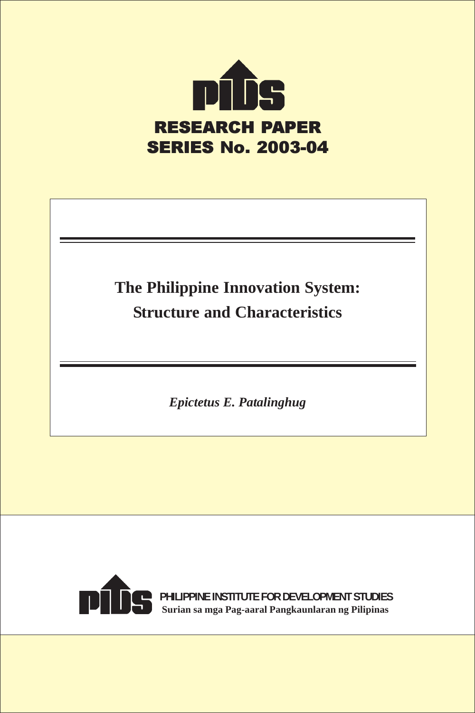

## **The Philippine Innovation System: Structure and Characteristics**

*Epictetus E. Patalinghug*



**PHILIPPINE INSTITUTE FOR DEVELOPMENT STUDIES Surian sa mga Pag-aaral Pangkaunlaran ng Pilipinas**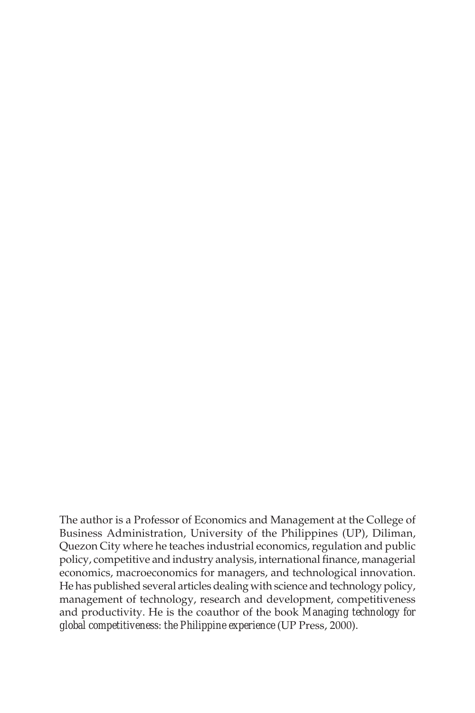The author is a Professor of Economics and Management at the College of Business Administration, University of the Philippines (UP), Diliman, Quezon City where he teaches industrial economics, regulation and public policy, competitive and industry analysis, international finance, managerial economics, macroeconomics for managers, and technological innovation. He has published several articles dealing with science and technology policy, management of technology, research and development, competitiveness and productivity. He is the coauthor of the book *Managing technology for global competitiveness: the Philippine experience* (UP Press, 2000).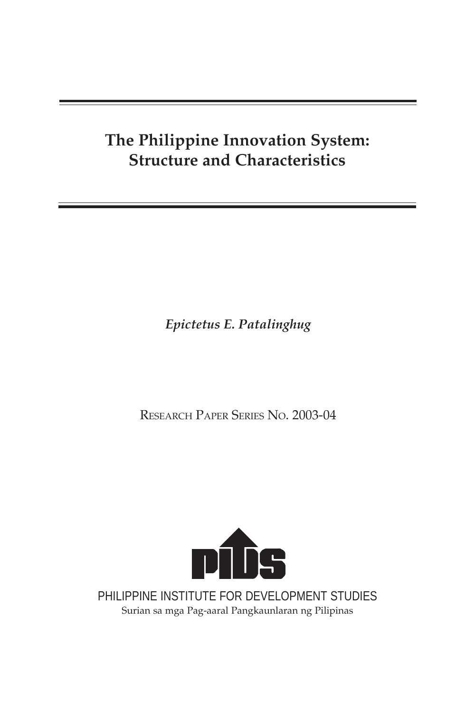### **The Philippine Innovation System: Structure and Characteristics**

*Epictetus E. Patalinghug*

RESEARCH PAPER SERIES NO. 2003-04



PHILIPPINE INSTITUTE FOR DEVELOPMENT STUDIES Surian sa mga Pag-aaral Pangkaunlaran ng Pilipinas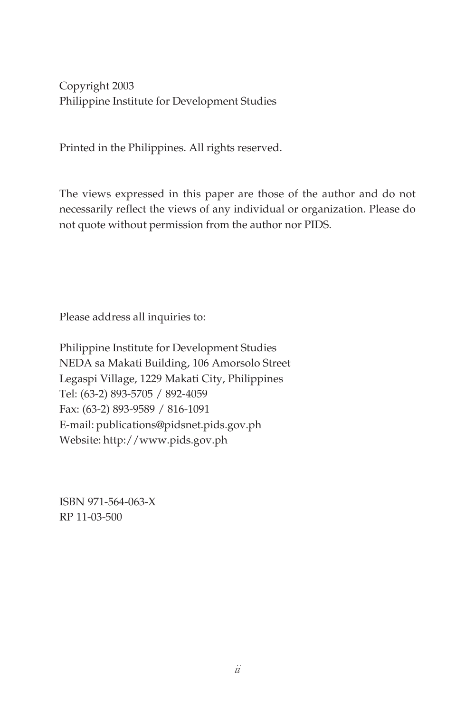Copyright 2003 Philippine Institute for Development Studies

Printed in the Philippines. All rights reserved.

The views expressed in this paper are those of the author and do not necessarily reflect the views of any individual or organization. Please do not quote without permission from the author nor PIDS.

Please address all inquiries to:

Philippine Institute for Development Studies NEDA sa Makati Building, 106 Amorsolo Street Legaspi Village, 1229 Makati City, Philippines Tel: (63-2) 893-5705 / 892-4059 Fax: (63-2) 893-9589 / 816-1091 E-mail: publications@pidsnet.pids.gov.ph Website: http://www.pids.gov.ph

ISBN 971-564-063-X RP 11-03-500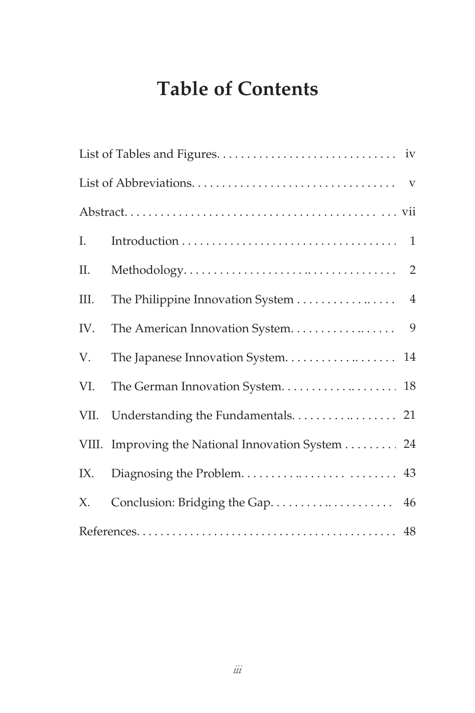# **Table of Contents**

| Ι.   |                                                    |
|------|----------------------------------------------------|
| Π.   |                                                    |
| III. |                                                    |
| IV.  | The American Innovation System. 9                  |
| V.   | The Japanese Innovation System 14                  |
| VI.  | The German Innovation System. 18                   |
| VII. |                                                    |
|      | VIII. Improving the National Innovation System  24 |
| IX.  |                                                    |
| X.   |                                                    |
|      |                                                    |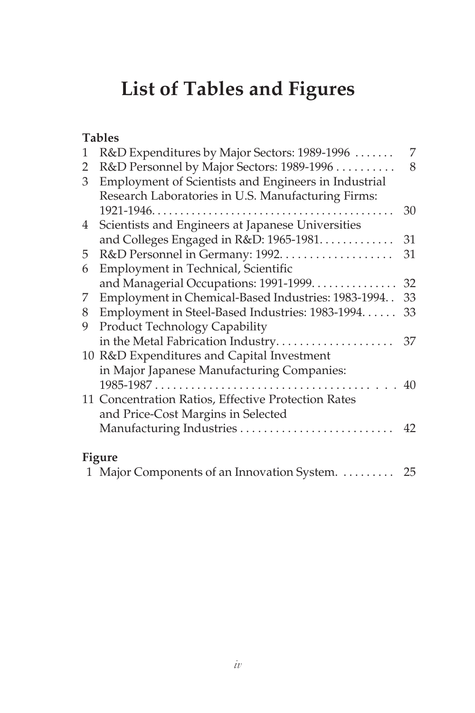# **List of Tables and Figures**

#### **Tables**

| 1  | R&D Expenditures by Major Sectors: 1989-1996                                                               | 7  |
|----|------------------------------------------------------------------------------------------------------------|----|
| 2  | R&D Personnel by Major Sectors: 1989-1996                                                                  | 8  |
| 3  | Employment of Scientists and Engineers in Industrial<br>Research Laboratories in U.S. Manufacturing Firms: |    |
|    |                                                                                                            | 30 |
| 4  | Scientists and Engineers at Japanese Universities                                                          |    |
|    | and Colleges Engaged in R&D: 1965-1981                                                                     | 31 |
| 5. | R&D Personnel in Germany: 1992.                                                                            | 31 |
| 6  | Employment in Technical, Scientific                                                                        |    |
|    | and Managerial Occupations: 1991-1999.                                                                     | 32 |
| 7  | Employment in Chemical-Based Industries: 1983-1994                                                         | 33 |
| 8  | Employment in Steel-Based Industries: 1983-1994                                                            | 33 |
| 9  | <b>Product Technology Capability</b>                                                                       |    |
|    | in the Metal Fabrication Industry                                                                          | 37 |
|    | 10 R&D Expenditures and Capital Investment                                                                 |    |
|    | in Major Japanese Manufacturing Companies:                                                                 |    |
|    |                                                                                                            | 40 |
|    | 11 Concentration Ratios, Effective Protection Rates                                                        |    |
|    | and Price-Cost Margins in Selected                                                                         |    |
|    | Manufacturing Industries                                                                                   | 42 |
|    |                                                                                                            |    |
|    | <b>Figure</b>                                                                                              |    |

|  | 1 Major Components of an Innovation System.  25 |  |  |
|--|-------------------------------------------------|--|--|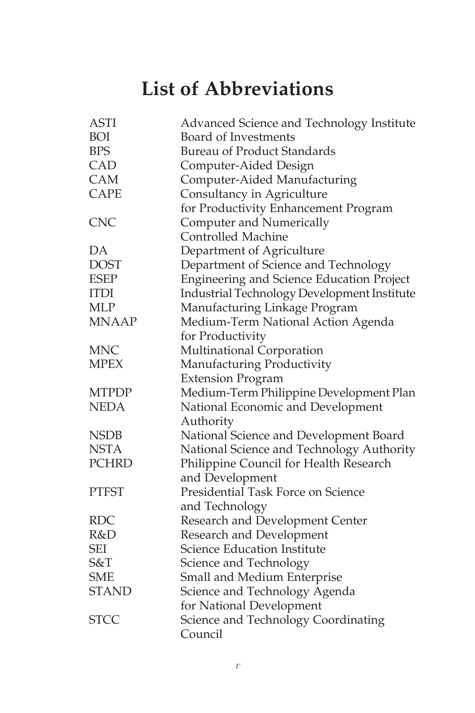# **List of Abbreviations**

| <b>ASTI</b>  | Advanced Science and Technology Institute        |
|--------------|--------------------------------------------------|
| <b>BOI</b>   | Board of Investments                             |
| <b>BPS</b>   | <b>Bureau of Product Standards</b>               |
| CAD          | Computer-Aided Design                            |
| <b>CAM</b>   | Computer-Aided Manufacturing                     |
| <b>CAPE</b>  | Consultancy in Agriculture                       |
|              | for Productivity Enhancement Program             |
| <b>CNC</b>   | Computer and Numerically                         |
|              | <b>Controlled Machine</b>                        |
| DA           | Department of Agriculture                        |
| <b>DOST</b>  | Department of Science and Technology             |
| <b>ESEP</b>  | <b>Engineering and Science Education Project</b> |
| <b>ITDI</b>  | Industrial Technology Development Institute      |
| <b>MLP</b>   | Manufacturing Linkage Program                    |
| <b>MNAAP</b> | Medium-Term National Action Agenda               |
|              | for Productivity                                 |
| <b>MNC</b>   | <b>Multinational Corporation</b>                 |
| <b>MPEX</b>  | Manufacturing Productivity                       |
|              | <b>Extension Program</b>                         |
| <b>MTPDP</b> | Medium-Term Philippine Development Plan          |
| <b>NEDA</b>  | National Economic and Development                |
|              | Authority                                        |
| <b>NSDB</b>  | National Science and Development Board           |
| <b>NSTA</b>  | National Science and Technology Authority        |
| <b>PCHRD</b> | Philippine Council for Health Research           |
|              | and Development                                  |
| <b>PTFST</b> | Presidential Task Force on Science               |
|              | and Technology                                   |
| <b>RDC</b>   | Research and Development Center                  |
| R&D          | Research and Development                         |
| <b>SEI</b>   | Science Education Institute                      |
| S&T          | Science and Technology                           |
| <b>SME</b>   | Small and Medium Enterprise                      |
| <b>STAND</b> | Science and Technology Agenda                    |
|              | for National Development                         |
| <b>STCC</b>  | Science and Technology Coordinating              |
|              | Council                                          |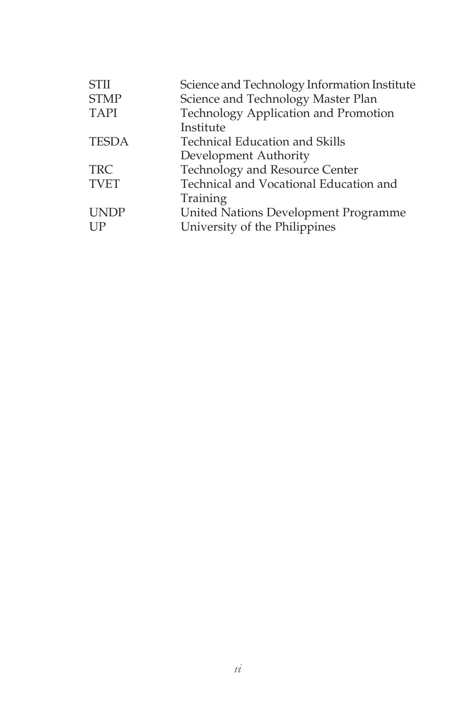| <b>STII</b>  | Science and Technology Information Institute |
|--------------|----------------------------------------------|
| <b>STMP</b>  | Science and Technology Master Plan           |
| <b>TAPI</b>  | Technology Application and Promotion         |
|              | Institute                                    |
| <b>TESDA</b> | <b>Technical Education and Skills</b>        |
|              | Development Authority                        |
| <b>TRC</b>   | Technology and Resource Center               |
| <b>TVET</b>  | Technical and Vocational Education and       |
|              | Training                                     |
| <b>UNDP</b>  | United Nations Development Programme         |
| UP           | University of the Philippines                |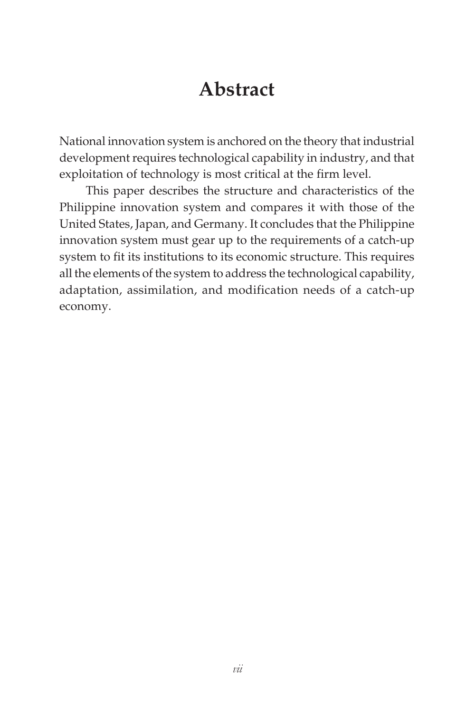## **Abstract**

National innovation system is anchored on the theory that industrial development requires technological capability in industry, and that exploitation of technology is most critical at the firm level.

This paper describes the structure and characteristics of the Philippine innovation system and compares it with those of the United States, Japan, and Germany. It concludes that the Philippine innovation system must gear up to the requirements of a catch-up system to fit its institutions to its economic structure. This requires all the elements of the system to address the technological capability, adaptation, assimilation, and modification needs of a catch-up economy.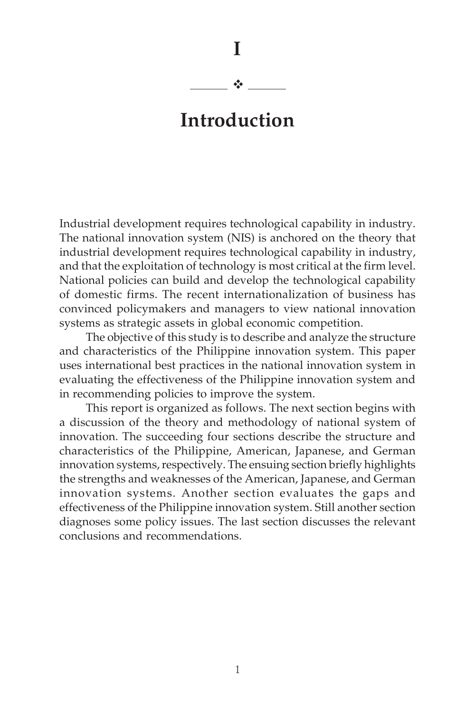**I**

 $\frac{1}{2}$ 

### **Introduction**

Industrial development requires technological capability in industry. The national innovation system (NIS) is anchored on the theory that industrial development requires technological capability in industry, and that the exploitation of technology is most critical at the firm level. National policies can build and develop the technological capability of domestic firms. The recent internationalization of business has convinced policymakers and managers to view national innovation systems as strategic assets in global economic competition.

The objective of this study is to describe and analyze the structure and characteristics of the Philippine innovation system. This paper uses international best practices in the national innovation system in evaluating the effectiveness of the Philippine innovation system and in recommending policies to improve the system.

This report is organized as follows. The next section begins with a discussion of the theory and methodology of national system of innovation. The succeeding four sections describe the structure and characteristics of the Philippine, American, Japanese, and German innovation systems, respectively. The ensuing section briefly highlights the strengths and weaknesses of the American, Japanese, and German innovation systems. Another section evaluates the gaps and effectiveness of the Philippine innovation system. Still another section diagnoses some policy issues. The last section discusses the relevant conclusions and recommendations.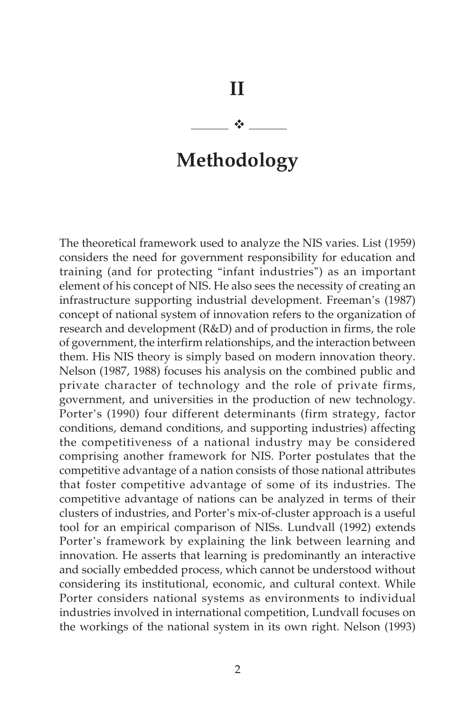-

## **Methodology**

The theoretical framework used to analyze the NIS varies. List (1959) considers the need for government responsibility for education and training (and for protecting "infant industries") as an important element of his concept of NIS. He also sees the necessity of creating an infrastructure supporting industrial development. Freeman's (1987) concept of national system of innovation refers to the organization of research and development (R&D) and of production in firms, the role of government, the interfirm relationships, and the interaction between them. His NIS theory is simply based on modern innovation theory. Nelson (1987, 1988) focuses his analysis on the combined public and private character of technology and the role of private firms, government, and universities in the production of new technology. Porter's (1990) four different determinants (firm strategy, factor conditions, demand conditions, and supporting industries) affecting the competitiveness of a national industry may be considered comprising another framework for NIS. Porter postulates that the competitive advantage of a nation consists of those national attributes that foster competitive advantage of some of its industries. The competitive advantage of nations can be analyzed in terms of their clusters of industries, and Porter's mix-of-cluster approach is a useful tool for an empirical comparison of NISs. Lundvall (1992) extends Porter's framework by explaining the link between learning and innovation. He asserts that learning is predominantly an interactive and socially embedded process, which cannot be understood without considering its institutional, economic, and cultural context. While Porter considers national systems as environments to individual industries involved in international competition, Lundvall focuses on the workings of the national system in its own right. Nelson (1993)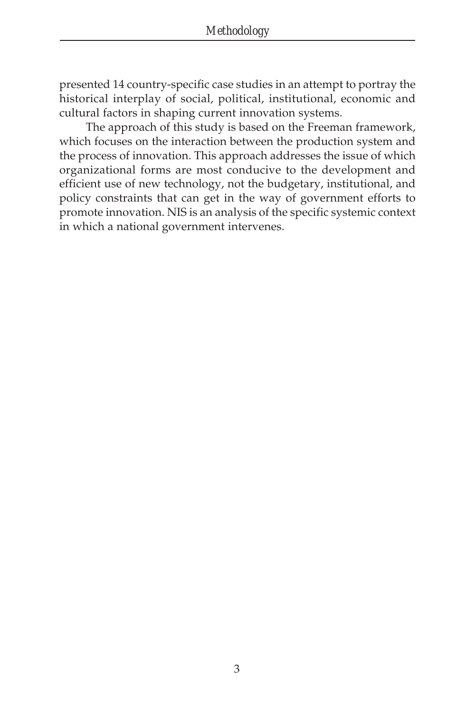presented 14 country-specific case studies in an attempt to portray the historical interplay of social, political, institutional, economic and cultural factors in shaping current innovation systems.

The approach of this study is based on the Freeman framework, which focuses on the interaction between the production system and the process of innovation. This approach addresses the issue of which organizational forms are most conducive to the development and efficient use of new technology, not the budgetary, institutional, and policy constraints that can get in the way of government efforts to promote innovation. NIS is an analysis of the specific systemic context in which a national government intervenes.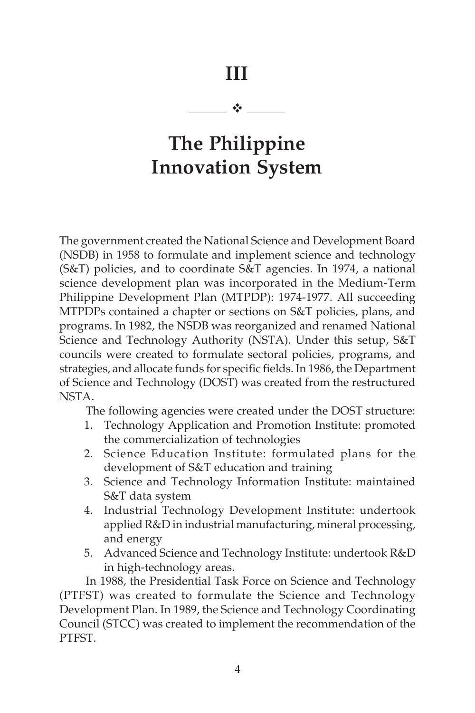- 1990 - 1990 - 1990 - 1990 - 1990 - 1990 - 1990 - 1990 - 1990 - 1990 - 1990 - 1990 - 1990 - 1990 - 1990 - 199

# **The Philippine Innovation System**

The government created the National Science and Development Board (NSDB) in 1958 to formulate and implement science and technology (S&T) policies, and to coordinate S&T agencies. In 1974, a national science development plan was incorporated in the Medium-Term Philippine Development Plan (MTPDP): 1974-1977. All succeeding MTPDPs contained a chapter or sections on S&T policies, plans, and programs. In 1982, the NSDB was reorganized and renamed National Science and Technology Authority (NSTA). Under this setup, S&T councils were created to formulate sectoral policies, programs, and strategies, and allocate funds for specific fields. In 1986, the Department of Science and Technology (DOST) was created from the restructured NSTA.

The following agencies were created under the DOST structure:

- 1. Technology Application and Promotion Institute: promoted the commercialization of technologies
- 2. Science Education Institute: formulated plans for the development of S&T education and training
- 3. Science and Technology Information Institute: maintained S&T data system
- 4. Industrial Technology Development Institute: undertook applied R&D in industrial manufacturing, mineral processing, and energy
- 5. Advanced Science and Technology Institute: undertook R&D in high-technology areas.

In 1988, the Presidential Task Force on Science and Technology (PTFST) was created to formulate the Science and Technology Development Plan. In 1989, the Science and Technology Coordinating Council (STCC) was created to implement the recommendation of the PTFST.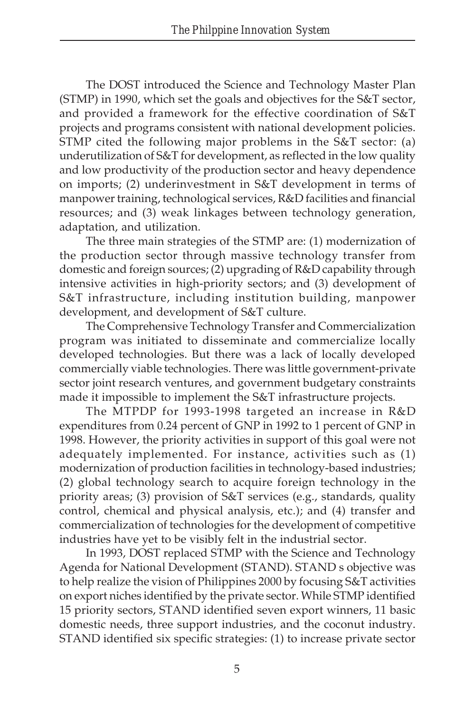The DOST introduced the Science and Technology Master Plan (STMP) in 1990, which set the goals and objectives for the S&T sector, and provided a framework for the effective coordination of S&T projects and programs consistent with national development policies. STMP cited the following major problems in the S&T sector: (a) underutilization of S&T for development, as reflected in the low quality and low productivity of the production sector and heavy dependence on imports; (2) underinvestment in S&T development in terms of manpower training, technological services, R&D facilities and financial resources; and (3) weak linkages between technology generation, adaptation, and utilization.

The three main strategies of the STMP are: (1) modernization of the production sector through massive technology transfer from domestic and foreign sources; (2) upgrading of R&D capability through intensive activities in high-priority sectors; and (3) development of S&T infrastructure, including institution building, manpower development, and development of S&T culture.

The Comprehensive Technology Transfer and Commercialization program was initiated to disseminate and commercialize locally developed technologies. But there was a lack of locally developed commercially viable technologies. There was little government-private sector joint research ventures, and government budgetary constraints made it impossible to implement the S&T infrastructure projects.

The MTPDP for 1993-1998 targeted an increase in R&D expenditures from 0.24 percent of GNP in 1992 to 1 percent of GNP in 1998. However, the priority activities in support of this goal were not adequately implemented. For instance, activities such as (1) modernization of production facilities in technology-based industries; (2) global technology search to acquire foreign technology in the priority areas; (3) provision of S&T services (e.g., standards, quality control, chemical and physical analysis, etc.); and (4) transfer and commercialization of technologies for the development of competitive industries have yet to be visibly felt in the industrial sector.

In 1993, DOST replaced STMP with the Science and Technology Agenda for National Development (STAND). STAND s objective was to help realize the vision of Philippines 2000 by focusing S&T activities on export niches identified by the private sector. While STMP identified 15 priority sectors, STAND identified seven export winners, 11 basic domestic needs, three support industries, and the coconut industry. STAND identified six specific strategies: (1) to increase private sector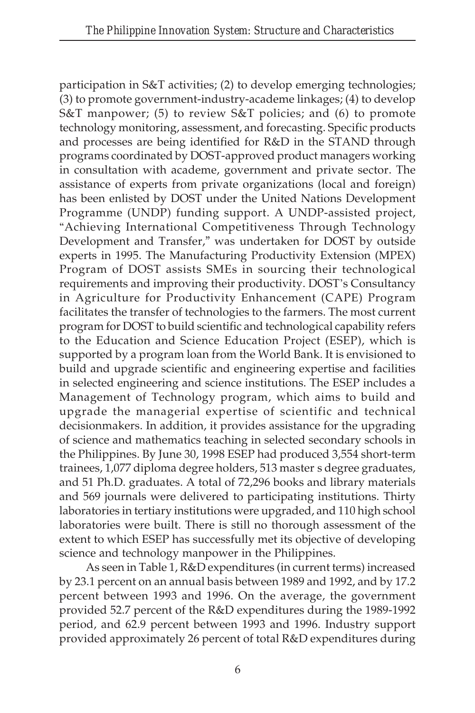participation in S&T activities; (2) to develop emerging technologies; (3) to promote government-industry-academe linkages; (4) to develop S&T manpower; (5) to review S&T policies; and (6) to promote technology monitoring, assessment, and forecasting. Specific products and processes are being identified for R&D in the STAND through programs coordinated by DOST-approved product managers working in consultation with academe, government and private sector. The assistance of experts from private organizations (local and foreign) has been enlisted by DOST under the United Nations Development Programme (UNDP) funding support. A UNDP-assisted project, "Achieving International Competitiveness Through Technology Development and Transfer," was undertaken for DOST by outside experts in 1995. The Manufacturing Productivity Extension (MPEX) Program of DOST assists SMEs in sourcing their technological requirements and improving their productivity. DOST's Consultancy in Agriculture for Productivity Enhancement (CAPE) Program facilitates the transfer of technologies to the farmers. The most current program for DOST to build scientific and technological capability refers to the Education and Science Education Project (ESEP), which is supported by a program loan from the World Bank. It is envisioned to build and upgrade scientific and engineering expertise and facilities in selected engineering and science institutions. The ESEP includes a Management of Technology program, which aims to build and upgrade the managerial expertise of scientific and technical decisionmakers. In addition, it provides assistance for the upgrading of science and mathematics teaching in selected secondary schools in the Philippines. By June 30, 1998 ESEP had produced 3,554 short-term trainees, 1,077 diploma degree holders, 513 master s degree graduates, and 51 Ph.D. graduates. A total of 72,296 books and library materials and 569 journals were delivered to participating institutions. Thirty laboratories in tertiary institutions were upgraded, and 110 high school laboratories were built. There is still no thorough assessment of the extent to which ESEP has successfully met its objective of developing science and technology manpower in the Philippines.

As seen in Table 1, R&D expenditures (in current terms) increased by 23.1 percent on an annual basis between 1989 and 1992, and by 17.2 percent between 1993 and 1996. On the average, the government provided 52.7 percent of the R&D expenditures during the 1989-1992 period, and 62.9 percent between 1993 and 1996. Industry support provided approximately 26 percent of total R&D expenditures during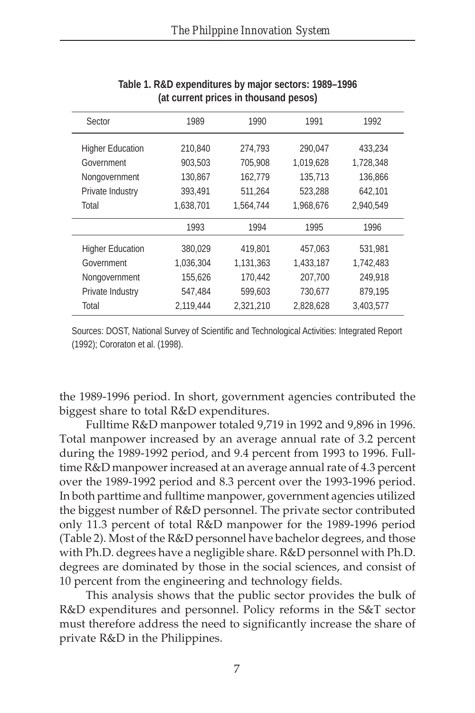| Sector                  | 1989      | 1990      | 1991      | 1992      |
|-------------------------|-----------|-----------|-----------|-----------|
|                         |           |           |           |           |
| <b>Higher Education</b> | 210,840   | 274,793   | 290,047   | 433,234   |
| Government              | 903,503   | 705,908   | 1.019.628 | 1,728,348 |
| Nongovernment           | 130,867   | 162.779   | 135,713   | 136,866   |
| Private Industry        | 393,491   | 511.264   | 523,288   | 642,101   |
| Total                   | 1,638,701 | 1,564,744 | 1,968,676 | 2,940,549 |
|                         | 1993      | 1994      | 1995      | 1996      |
| <b>Higher Education</b> | 380,029   | 419,801   | 457,063   | 531,981   |
| Government              | 1,036,304 | 1,131,363 | 1,433,187 | 1,742,483 |
| Nongovernment           | 155,626   | 170,442   | 207,700   | 249,918   |
| Private Industry        | 547,484   | 599,603   | 730,677   | 879,195   |
| Total                   | 2,119,444 | 2,321,210 | 2,828,628 | 3,403,577 |

#### **Table 1. R&D expenditures by major sectors: 1989–1996 (at current prices in thousand pesos)**

Sources: DOST, National Survey of Scientific and Technological Activities: Integrated Report (1992); Cororaton et al. (1998).

the 1989-1996 period. In short, government agencies contributed the biggest share to total R&D expenditures.

Fulltime R&D manpower totaled 9,719 in 1992 and 9,896 in 1996. Total manpower increased by an average annual rate of 3.2 percent during the 1989-1992 period, and 9.4 percent from 1993 to 1996. Fulltime R&D manpower increased at an average annual rate of 4.3 percent over the 1989-1992 period and 8.3 percent over the 1993-1996 period. In both parttime and fulltime manpower, government agencies utilized the biggest number of R&D personnel. The private sector contributed only 11.3 percent of total R&D manpower for the 1989-1996 period (Table 2). Most of the R&D personnel have bachelor degrees, and those with Ph.D. degrees have a negligible share. R&D personnel with Ph.D. degrees are dominated by those in the social sciences, and consist of 10 percent from the engineering and technology fields.

This analysis shows that the public sector provides the bulk of R&D expenditures and personnel. Policy reforms in the S&T sector must therefore address the need to significantly increase the share of private R&D in the Philippines.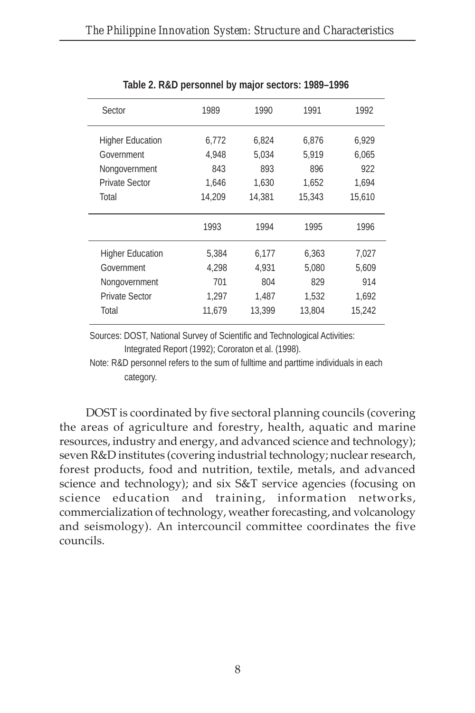| Sector                  | 1989   | 1990   | 1991   | 1992   |
|-------------------------|--------|--------|--------|--------|
| <b>Higher Education</b> | 6,772  | 6,824  | 6,876  | 6,929  |
| Government              | 4.948  | 5.034  | 5.919  | 6,065  |
| Nongovernment           | 843    | 893    | 896    | 922    |
| <b>Private Sector</b>   | 1.646  | 1.630  | 1.652  | 1.694  |
| Total                   | 14.209 | 14,381 | 15,343 | 15,610 |
|                         | 1993   | 1994   | 1995   | 1996   |
| <b>Higher Education</b> | 5,384  | 6,177  | 6,363  | 7,027  |
| Government              | 4,298  | 4,931  | 5,080  | 5,609  |
| Nongovernment           | 701    | 804    | 829    | 914    |
| <b>Private Sector</b>   | 1,297  | 1,487  | 1,532  | 1,692  |
| Total                   | 11,679 | 13,399 | 13,804 | 15,242 |
|                         |        |        |        |        |

#### **Table 2. R&D personnel by major sectors: 1989–1996**

Sources: DOST, National Survey of Scientific and Technological Activities:

Integrated Report (1992); Cororaton et al. (1998).

Note: R&D personnel refers to the sum of fulltime and parttime individuals in each category.

DOST is coordinated by five sectoral planning councils (covering the areas of agriculture and forestry, health, aquatic and marine resources, industry and energy, and advanced science and technology); seven R&D institutes (covering industrial technology; nuclear research, forest products, food and nutrition, textile, metals, and advanced science and technology); and six S&T service agencies (focusing on science education and training, information networks, commercialization of technology, weather forecasting, and volcanology and seismology). An intercouncil committee coordinates the five councils.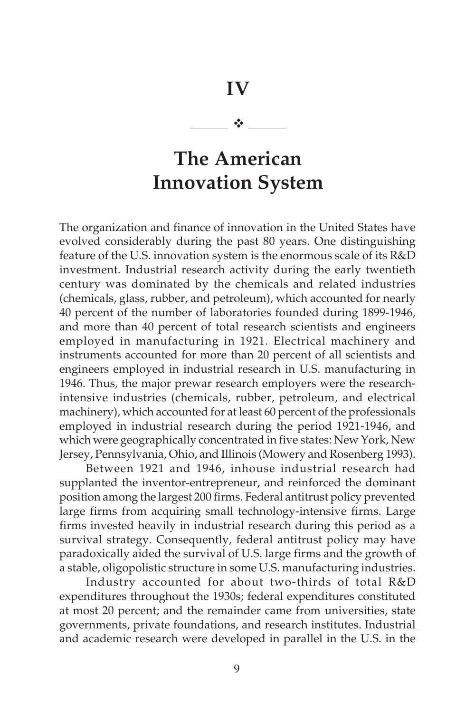-

## **The American Innovation System**

The organization and finance of innovation in the United States have evolved considerably during the past 80 years. One distinguishing feature of the U.S. innovation system is the enormous scale of its R&D investment. Industrial research activity during the early twentieth century was dominated by the chemicals and related industries (chemicals, glass, rubber, and petroleum), which accounted for nearly 40 percent of the number of laboratories founded during 1899-1946, and more than 40 percent of total research scientists and engineers employed in manufacturing in 1921. Electrical machinery and instruments accounted for more than 20 percent of all scientists and engineers employed in industrial research in U.S. manufacturing in 1946. Thus, the major prewar research employers were the researchintensive industries (chemicals, rubber, petroleum, and electrical machinery), which accounted for at least 60 percent of the professionals employed in industrial research during the period 1921-1946, and which were geographically concentrated in five states: New York, New Jersey, Pennsylvania, Ohio, and Illinois (Mowery and Rosenberg 1993).

Between 1921 and 1946, inhouse industrial research had supplanted the inventor-entrepreneur, and reinforced the dominant position among the largest 200 firms. Federal antitrust policy prevented large firms from acquiring small technology-intensive firms. Large firms invested heavily in industrial research during this period as a survival strategy. Consequently, federal antitrust policy may have paradoxically aided the survival of U.S. large firms and the growth of a stable, oligopolistic structure in some U.S. manufacturing industries.

Industry accounted for about two-thirds of total R&D expenditures throughout the 1930s; federal expenditures constituted at most 20 percent; and the remainder came from universities, state governments, private foundations, and research institutes. Industrial and academic research were developed in parallel in the U.S. in the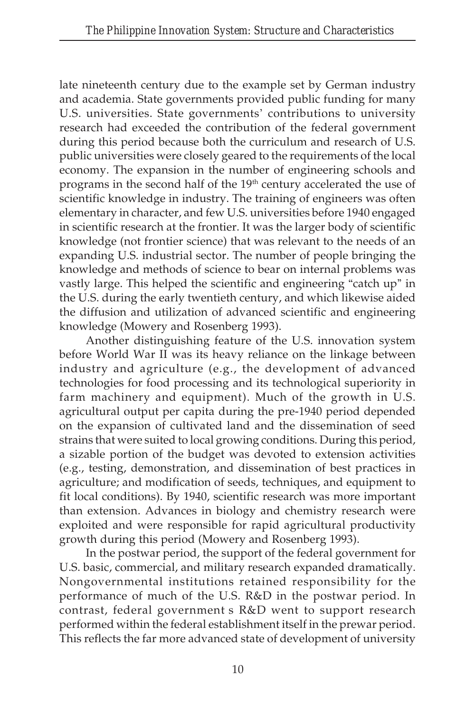late nineteenth century due to the example set by German industry and academia. State governments provided public funding for many U.S. universities. State governments' contributions to university research had exceeded the contribution of the federal government during this period because both the curriculum and research of U.S. public universities were closely geared to the requirements of the local economy. The expansion in the number of engineering schools and programs in the second half of the 19<sup>th</sup> century accelerated the use of scientific knowledge in industry. The training of engineers was often elementary in character, and few U.S. universities before 1940 engaged in scientific research at the frontier. It was the larger body of scientific knowledge (not frontier science) that was relevant to the needs of an expanding U.S. industrial sector. The number of people bringing the knowledge and methods of science to bear on internal problems was vastly large. This helped the scientific and engineering "catch up" in the U.S. during the early twentieth century, and which likewise aided the diffusion and utilization of advanced scientific and engineering knowledge (Mowery and Rosenberg 1993).

Another distinguishing feature of the U.S. innovation system before World War II was its heavy reliance on the linkage between industry and agriculture (e.g., the development of advanced technologies for food processing and its technological superiority in farm machinery and equipment). Much of the growth in U.S. agricultural output per capita during the pre-1940 period depended on the expansion of cultivated land and the dissemination of seed strains that were suited to local growing conditions. During this period, a sizable portion of the budget was devoted to extension activities (e.g., testing, demonstration, and dissemination of best practices in agriculture; and modification of seeds, techniques, and equipment to fit local conditions). By 1940, scientific research was more important than extension. Advances in biology and chemistry research were exploited and were responsible for rapid agricultural productivity growth during this period (Mowery and Rosenberg 1993).

In the postwar period, the support of the federal government for U.S. basic, commercial, and military research expanded dramatically. Nongovernmental institutions retained responsibility for the performance of much of the U.S. R&D in the postwar period. In contrast, federal government s R&D went to support research performed within the federal establishment itself in the prewar period. This reflects the far more advanced state of development of university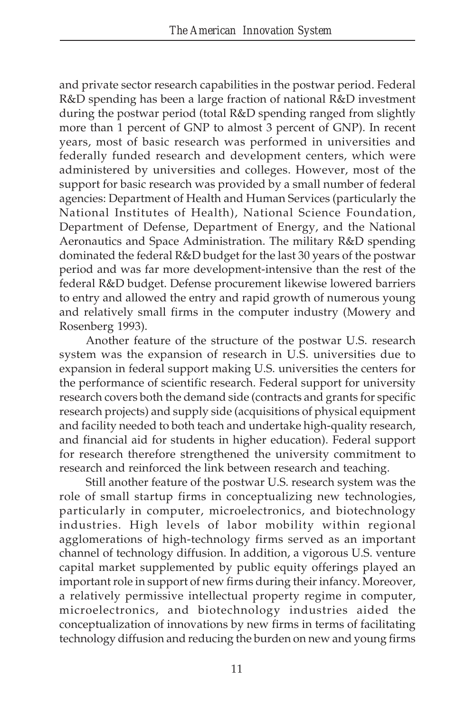and private sector research capabilities in the postwar period. Federal R&D spending has been a large fraction of national R&D investment during the postwar period (total R&D spending ranged from slightly more than 1 percent of GNP to almost 3 percent of GNP). In recent years, most of basic research was performed in universities and federally funded research and development centers, which were administered by universities and colleges. However, most of the support for basic research was provided by a small number of federal agencies: Department of Health and Human Services (particularly the National Institutes of Health), National Science Foundation, Department of Defense, Department of Energy, and the National Aeronautics and Space Administration. The military R&D spending dominated the federal R&D budget for the last 30 years of the postwar period and was far more development-intensive than the rest of the federal R&D budget. Defense procurement likewise lowered barriers to entry and allowed the entry and rapid growth of numerous young and relatively small firms in the computer industry (Mowery and Rosenberg 1993).

Another feature of the structure of the postwar U.S. research system was the expansion of research in U.S. universities due to expansion in federal support making U.S. universities the centers for the performance of scientific research. Federal support for university research covers both the demand side (contracts and grants for specific research projects) and supply side (acquisitions of physical equipment and facility needed to both teach and undertake high-quality research, and financial aid for students in higher education). Federal support for research therefore strengthened the university commitment to research and reinforced the link between research and teaching.

Still another feature of the postwar U.S. research system was the role of small startup firms in conceptualizing new technologies, particularly in computer, microelectronics, and biotechnology industries. High levels of labor mobility within regional agglomerations of high-technology firms served as an important channel of technology diffusion. In addition, a vigorous U.S. venture capital market supplemented by public equity offerings played an important role in support of new firms during their infancy. Moreover, a relatively permissive intellectual property regime in computer, microelectronics, and biotechnology industries aided the conceptualization of innovations by new firms in terms of facilitating technology diffusion and reducing the burden on new and young firms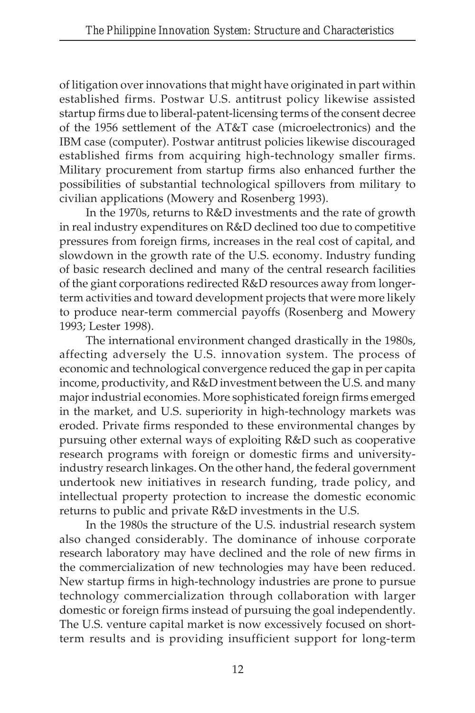of litigation over innovations that might have originated in part within established firms. Postwar U.S. antitrust policy likewise assisted startup firms due to liberal-patent-licensing terms of the consent decree of the 1956 settlement of the AT&T case (microelectronics) and the IBM case (computer). Postwar antitrust policies likewise discouraged established firms from acquiring high-technology smaller firms. Military procurement from startup firms also enhanced further the possibilities of substantial technological spillovers from military to civilian applications (Mowery and Rosenberg 1993).

In the 1970s, returns to R&D investments and the rate of growth in real industry expenditures on R&D declined too due to competitive pressures from foreign firms, increases in the real cost of capital, and slowdown in the growth rate of the U.S. economy. Industry funding of basic research declined and many of the central research facilities of the giant corporations redirected R&D resources away from longerterm activities and toward development projects that were more likely to produce near-term commercial payoffs (Rosenberg and Mowery 1993; Lester 1998).

The international environment changed drastically in the 1980s, affecting adversely the U.S. innovation system. The process of economic and technological convergence reduced the gap in per capita income, productivity, and R&D investment between the U.S. and many major industrial economies. More sophisticated foreign firms emerged in the market, and U.S. superiority in high-technology markets was eroded. Private firms responded to these environmental changes by pursuing other external ways of exploiting R&D such as cooperative research programs with foreign or domestic firms and universityindustry research linkages. On the other hand, the federal government undertook new initiatives in research funding, trade policy, and intellectual property protection to increase the domestic economic returns to public and private R&D investments in the U.S.

In the 1980s the structure of the U.S. industrial research system also changed considerably. The dominance of inhouse corporate research laboratory may have declined and the role of new firms in the commercialization of new technologies may have been reduced. New startup firms in high-technology industries are prone to pursue technology commercialization through collaboration with larger domestic or foreign firms instead of pursuing the goal independently. The U.S. venture capital market is now excessively focused on shortterm results and is providing insufficient support for long-term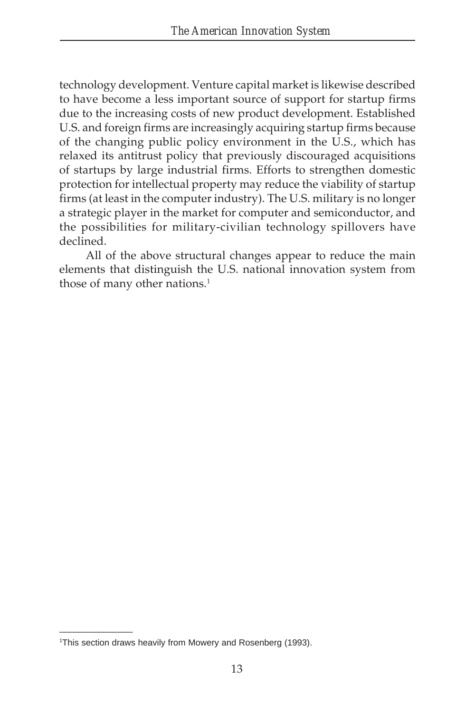technology development. Venture capital market is likewise described to have become a less important source of support for startup firms due to the increasing costs of new product development. Established U.S. and foreign firms are increasingly acquiring startup firms because of the changing public policy environment in the U.S., which has relaxed its antitrust policy that previously discouraged acquisitions of startups by large industrial firms. Efforts to strengthen domestic protection for intellectual property may reduce the viability of startup firms (at least in the computer industry). The U.S. military is no longer a strategic player in the market for computer and semiconductor, and the possibilities for military-civilian technology spillovers have declined.

All of the above structural changes appear to reduce the main elements that distinguish the U.S. national innovation system from those of many other nations. $<sup>1</sup>$ </sup>

 $\overline{\phantom{a}}$  , where  $\overline{\phantom{a}}$  , where  $\overline{\phantom{a}}$ 

<sup>1</sup> This section draws heavily from Mowery and Rosenberg (1993).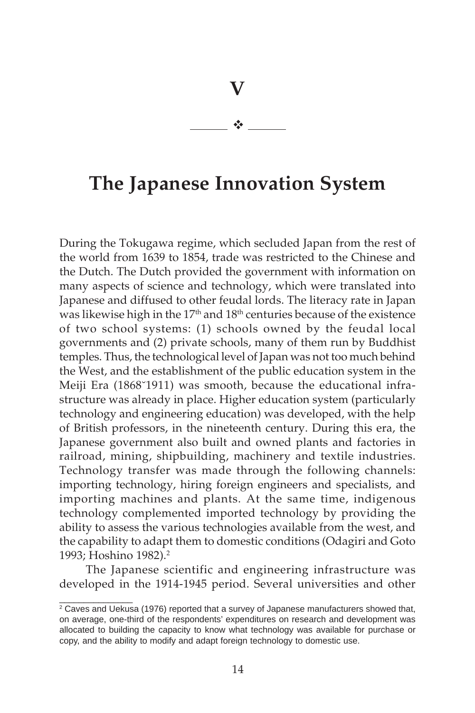### **The Japanese Innovation System**

-

**V**

During the Tokugawa regime, which secluded Japan from the rest of the world from 1639 to 1854, trade was restricted to the Chinese and the Dutch. The Dutch provided the government with information on many aspects of science and technology, which were translated into Japanese and diffused to other feudal lords. The literacy rate in Japan was likewise high in the 17th and 18th centuries because of the existence of two school systems: (1) schools owned by the feudal local governments and (2) private schools, many of them run by Buddhist temples. Thus, the technological level of Japan was not too much behind the West, and the establishment of the public education system in the Meiji Era (1868~1911) was smooth, because the educational infrastructure was already in place. Higher education system (particularly technology and engineering education) was developed, with the help of British professors, in the nineteenth century. During this era, the Japanese government also built and owned plants and factories in railroad, mining, shipbuilding, machinery and textile industries. Technology transfer was made through the following channels: importing technology, hiring foreign engineers and specialists, and importing machines and plants. At the same time, indigenous technology complemented imported technology by providing the ability to assess the various technologies available from the west, and the capability to adapt them to domestic conditions (Odagiri and Goto 1993; Hoshino 1982).2

The Japanese scientific and engineering infrastructure was developed in the 1914-1945 period. Several universities and other

\_\_\_\_\_\_\_\_\_\_\_\_\_\_\_

 $^{\rm 2}$  Caves and Uekusa (1976) reported that a survey of Japanese manufacturers showed that, on average, one-third of the respondents' expenditures on research and development was allocated to building the capacity to know what technology was available for purchase or copy, and the ability to modify and adapt foreign technology to domestic use.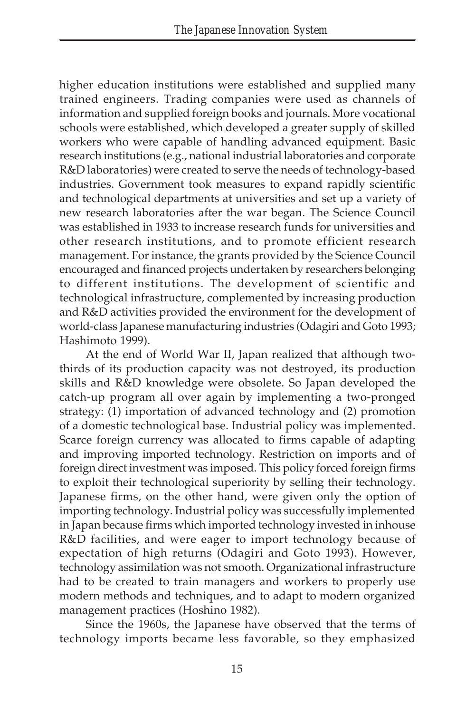higher education institutions were established and supplied many trained engineers. Trading companies were used as channels of information and supplied foreign books and journals. More vocational schools were established, which developed a greater supply of skilled workers who were capable of handling advanced equipment. Basic research institutions (e.g., national industrial laboratories and corporate R&D laboratories) were created to serve the needs of technology-based industries. Government took measures to expand rapidly scientific and technological departments at universities and set up a variety of new research laboratories after the war began. The Science Council was established in 1933 to increase research funds for universities and other research institutions, and to promote efficient research management. For instance, the grants provided by the Science Council encouraged and financed projects undertaken by researchers belonging to different institutions. The development of scientific and technological infrastructure, complemented by increasing production and R&D activities provided the environment for the development of world-class Japanese manufacturing industries (Odagiri and Goto 1993; Hashimoto 1999).

At the end of World War II, Japan realized that although twothirds of its production capacity was not destroyed, its production skills and R&D knowledge were obsolete. So Japan developed the catch-up program all over again by implementing a two-pronged strategy: (1) importation of advanced technology and (2) promotion of a domestic technological base. Industrial policy was implemented. Scarce foreign currency was allocated to firms capable of adapting and improving imported technology. Restriction on imports and of foreign direct investment was imposed. This policy forced foreign firms to exploit their technological superiority by selling their technology. Japanese firms, on the other hand, were given only the option of importing technology. Industrial policy was successfully implemented in Japan because firms which imported technology invested in inhouse R&D facilities, and were eager to import technology because of expectation of high returns (Odagiri and Goto 1993). However, technology assimilation was not smooth. Organizational infrastructure had to be created to train managers and workers to properly use modern methods and techniques, and to adapt to modern organized management practices (Hoshino 1982).

Since the 1960s, the Japanese have observed that the terms of technology imports became less favorable, so they emphasized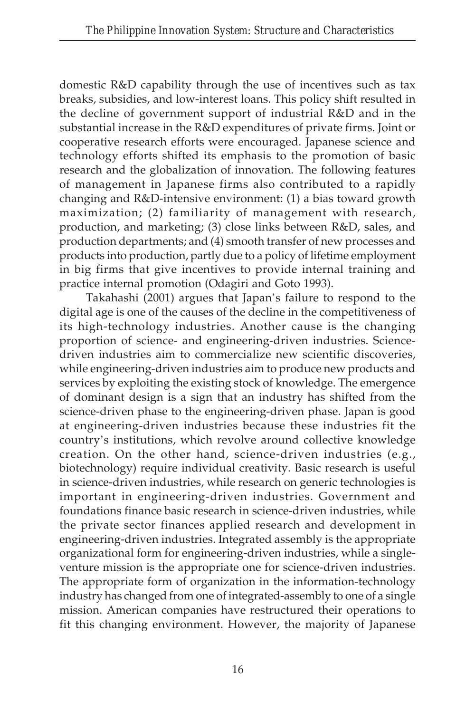domestic R&D capability through the use of incentives such as tax breaks, subsidies, and low-interest loans. This policy shift resulted in the decline of government support of industrial R&D and in the substantial increase in the R&D expenditures of private firms. Joint or cooperative research efforts were encouraged. Japanese science and technology efforts shifted its emphasis to the promotion of basic research and the globalization of innovation. The following features of management in Japanese firms also contributed to a rapidly changing and R&D-intensive environment: (1) a bias toward growth maximization; (2) familiarity of management with research, production, and marketing; (3) close links between R&D, sales, and production departments; and (4) smooth transfer of new processes and products into production, partly due to a policy of lifetime employment in big firms that give incentives to provide internal training and practice internal promotion (Odagiri and Goto 1993).

Takahashi (2001) argues that Japan's failure to respond to the digital age is one of the causes of the decline in the competitiveness of its high-technology industries. Another cause is the changing proportion of science- and engineering-driven industries. Sciencedriven industries aim to commercialize new scientific discoveries, while engineering-driven industries aim to produce new products and services by exploiting the existing stock of knowledge. The emergence of dominant design is a sign that an industry has shifted from the science-driven phase to the engineering-driven phase. Japan is good at engineering-driven industries because these industries fit the country's institutions, which revolve around collective knowledge creation. On the other hand, science-driven industries (e.g., biotechnology) require individual creativity. Basic research is useful in science-driven industries, while research on generic technologies is important in engineering-driven industries. Government and foundations finance basic research in science-driven industries, while the private sector finances applied research and development in engineering-driven industries. Integrated assembly is the appropriate organizational form for engineering-driven industries, while a singleventure mission is the appropriate one for science-driven industries. The appropriate form of organization in the information-technology industry has changed from one of integrated-assembly to one of a single mission. American companies have restructured their operations to fit this changing environment. However, the majority of Japanese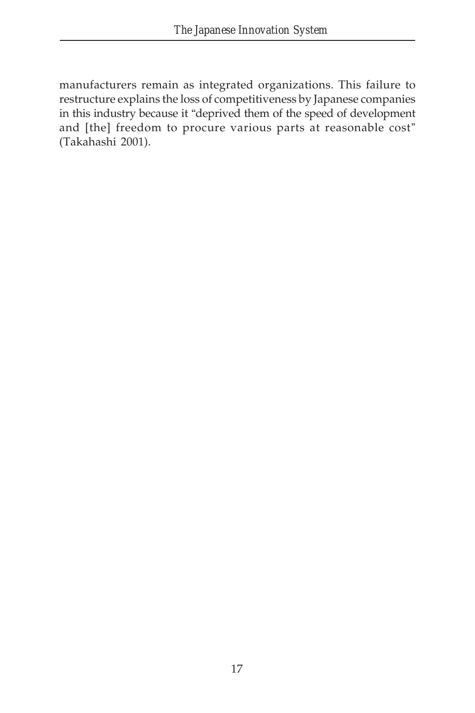manufacturers remain as integrated organizations. This failure to restructure explains the loss of competitiveness by Japanese companies in this industry because it "deprived them of the speed of development and [the] freedom to procure various parts at reasonable cost" (Takahashi 2001).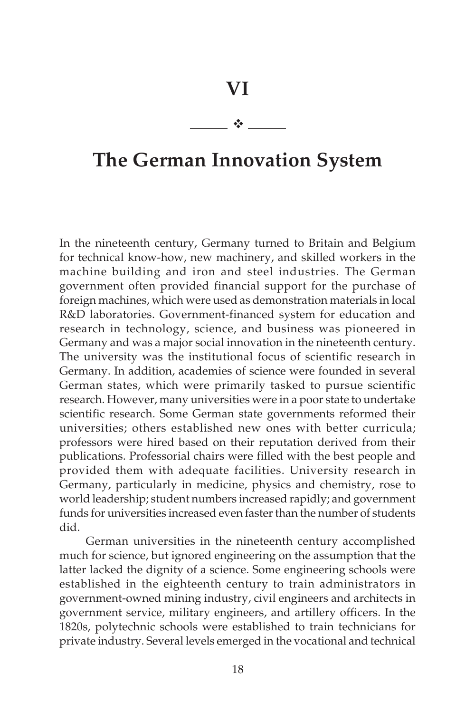**VI**

-

### **The German Innovation System**

In the nineteenth century, Germany turned to Britain and Belgium for technical know-how, new machinery, and skilled workers in the machine building and iron and steel industries. The German government often provided financial support for the purchase of foreign machines, which were used as demonstration materials in local R&D laboratories. Government-financed system for education and research in technology, science, and business was pioneered in Germany and was a major social innovation in the nineteenth century. The university was the institutional focus of scientific research in Germany. In addition, academies of science were founded in several German states, which were primarily tasked to pursue scientific research. However, many universities were in a poor state to undertake scientific research. Some German state governments reformed their universities; others established new ones with better curricula; professors were hired based on their reputation derived from their publications. Professorial chairs were filled with the best people and provided them with adequate facilities. University research in Germany, particularly in medicine, physics and chemistry, rose to world leadership; student numbers increased rapidly; and government funds for universities increased even faster than the number of students did.

German universities in the nineteenth century accomplished much for science, but ignored engineering on the assumption that the latter lacked the dignity of a science. Some engineering schools were established in the eighteenth century to train administrators in government-owned mining industry, civil engineers and architects in government service, military engineers, and artillery officers. In the 1820s, polytechnic schools were established to train technicians for private industry. Several levels emerged in the vocational and technical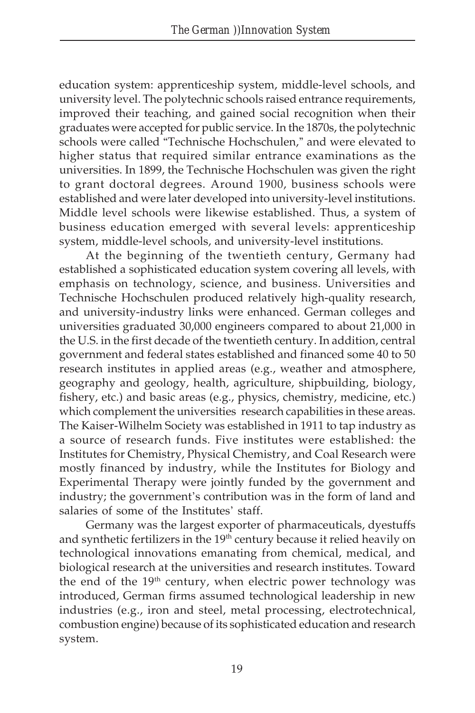education system: apprenticeship system, middle-level schools, and university level. The polytechnic schools raised entrance requirements, improved their teaching, and gained social recognition when their graduates were accepted for public service. In the 1870s, the polytechnic schools were called "Technische Hochschulen," and were elevated to higher status that required similar entrance examinations as the universities. In 1899, the Technische Hochschulen was given the right to grant doctoral degrees. Around 1900, business schools were established and were later developed into university-level institutions. Middle level schools were likewise established. Thus, a system of business education emerged with several levels: apprenticeship system, middle-level schools, and university-level institutions.

At the beginning of the twentieth century, Germany had established a sophisticated education system covering all levels, with emphasis on technology, science, and business. Universities and Technische Hochschulen produced relatively high-quality research, and university-industry links were enhanced. German colleges and universities graduated 30,000 engineers compared to about 21,000 in the U.S. in the first decade of the twentieth century. In addition, central government and federal states established and financed some 40 to 50 research institutes in applied areas (e.g., weather and atmosphere, geography and geology, health, agriculture, shipbuilding, biology, fishery, etc.) and basic areas (e.g., physics, chemistry, medicine, etc.) which complement the universities research capabilities in these areas. The Kaiser-Wilhelm Society was established in 1911 to tap industry as a source of research funds. Five institutes were established: the Institutes for Chemistry, Physical Chemistry, and Coal Research were mostly financed by industry, while the Institutes for Biology and Experimental Therapy were jointly funded by the government and industry; the government's contribution was in the form of land and salaries of some of the Institutes' staff.

Germany was the largest exporter of pharmaceuticals, dyestuffs and synthetic fertilizers in the 19<sup>th</sup> century because it relied heavily on technological innovations emanating from chemical, medical, and biological research at the universities and research institutes. Toward the end of the 19<sup>th</sup> century, when electric power technology was introduced, German firms assumed technological leadership in new industries (e.g., iron and steel, metal processing, electrotechnical, combustion engine) because of its sophisticated education and research system.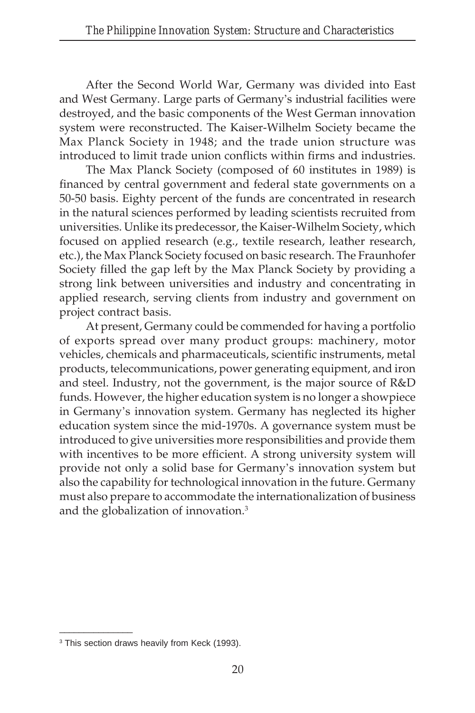After the Second World War, Germany was divided into East and West Germany. Large parts of Germany's industrial facilities were destroyed, and the basic components of the West German innovation system were reconstructed. The Kaiser-Wilhelm Society became the Max Planck Society in 1948; and the trade union structure was introduced to limit trade union conflicts within firms and industries.

The Max Planck Society (composed of 60 institutes in 1989) is financed by central government and federal state governments on a 50-50 basis. Eighty percent of the funds are concentrated in research in the natural sciences performed by leading scientists recruited from universities. Unlike its predecessor, the Kaiser-Wilhelm Society, which focused on applied research (e.g., textile research, leather research, etc.), the Max Planck Society focused on basic research. The Fraunhofer Society filled the gap left by the Max Planck Society by providing a strong link between universities and industry and concentrating in applied research, serving clients from industry and government on project contract basis.

At present, Germany could be commended for having a portfolio of exports spread over many product groups: machinery, motor vehicles, chemicals and pharmaceuticals, scientific instruments, metal products, telecommunications, power generating equipment, and iron and steel. Industry, not the government, is the major source of R&D funds. However, the higher education system is no longer a showpiece in Germany's innovation system. Germany has neglected its higher education system since the mid-1970s. A governance system must be introduced to give universities more responsibilities and provide them with incentives to be more efficient. A strong university system will provide not only a solid base for Germany's innovation system but also the capability for technological innovation in the future. Germany must also prepare to accommodate the internationalization of business and the globalization of innovation.3

\_\_\_\_\_\_\_\_\_\_\_\_\_\_\_

<sup>3</sup> This section draws heavily from Keck (1993).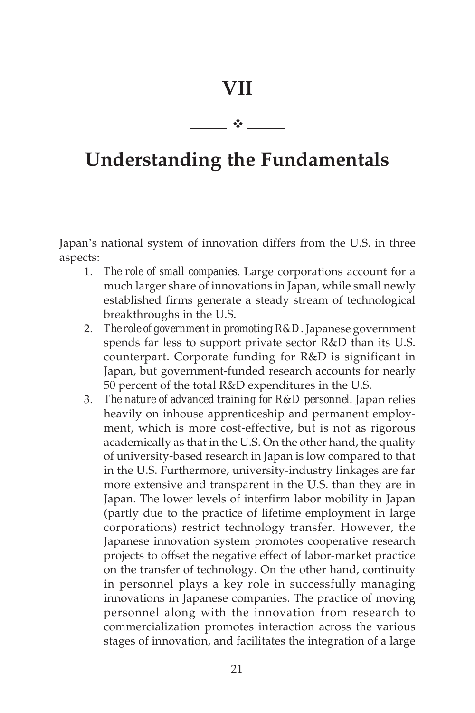**VII**

**Understanding the Fundamentals**

**- Participants** 

Japan's national system of innovation differs from the U.S. in three aspects:

- 1. *The role of small companies.* Large corporations account for a much larger share of innovations in Japan, while small newly established firms generate a steady stream of technological breakthroughs in the U.S.
- 2. *The role of government in promoting R&D.* Japanese government spends far less to support private sector R&D than its U.S. counterpart. Corporate funding for R&D is significant in Japan, but government-funded research accounts for nearly 50 percent of the total R&D expenditures in the U.S.
- 3. *The nature of advanced training for R&D personnel.* Japan relies heavily on inhouse apprenticeship and permanent employment, which is more cost-effective, but is not as rigorous academically as that in the U.S. On the other hand, the quality of university-based research in Japan is low compared to that in the U.S. Furthermore, university-industry linkages are far more extensive and transparent in the U.S. than they are in Japan. The lower levels of interfirm labor mobility in Japan (partly due to the practice of lifetime employment in large corporations) restrict technology transfer. However, the Japanese innovation system promotes cooperative research projects to offset the negative effect of labor-market practice on the transfer of technology. On the other hand, continuity in personnel plays a key role in successfully managing innovations in Japanese companies. The practice of moving personnel along with the innovation from research to commercialization promotes interaction across the various stages of innovation, and facilitates the integration of a large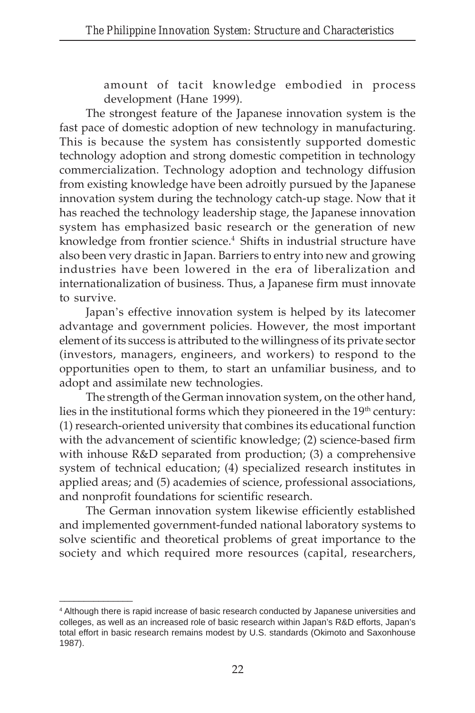amount of tacit knowledge embodied in process development (Hane 1999).

The strongest feature of the Japanese innovation system is the fast pace of domestic adoption of new technology in manufacturing. This is because the system has consistently supported domestic technology adoption and strong domestic competition in technology commercialization. Technology adoption and technology diffusion from existing knowledge have been adroitly pursued by the Japanese innovation system during the technology catch-up stage. Now that it has reached the technology leadership stage, the Japanese innovation system has emphasized basic research or the generation of new knowledge from frontier science.4 Shifts in industrial structure have also been very drastic in Japan. Barriers to entry into new and growing industries have been lowered in the era of liberalization and internationalization of business. Thus, a Japanese firm must innovate to survive.

Japan's effective innovation system is helped by its latecomer advantage and government policies. However, the most important element of its success is attributed to the willingness of its private sector (investors, managers, engineers, and workers) to respond to the opportunities open to them, to start an unfamiliar business, and to adopt and assimilate new technologies.

The strength of the German innovation system, on the other hand, lies in the institutional forms which they pioneered in the 19<sup>th</sup> century: (1) research-oriented university that combines its educational function with the advancement of scientific knowledge; (2) science-based firm with inhouse R&D separated from production; (3) a comprehensive system of technical education; (4) specialized research institutes in applied areas; and (5) academies of science, professional associations, and nonprofit foundations for scientific research.

The German innovation system likewise efficiently established and implemented government-funded national laboratory systems to solve scientific and theoretical problems of great importance to the society and which required more resources (capital, researchers,

\_\_\_\_\_\_\_\_\_\_\_\_\_\_\_

<sup>4</sup> Although there is rapid increase of basic research conducted by Japanese universities and colleges, as well as an increased role of basic research within Japan's R&D efforts, Japan's total effort in basic research remains modest by U.S. standards (Okimoto and Saxonhouse 1987).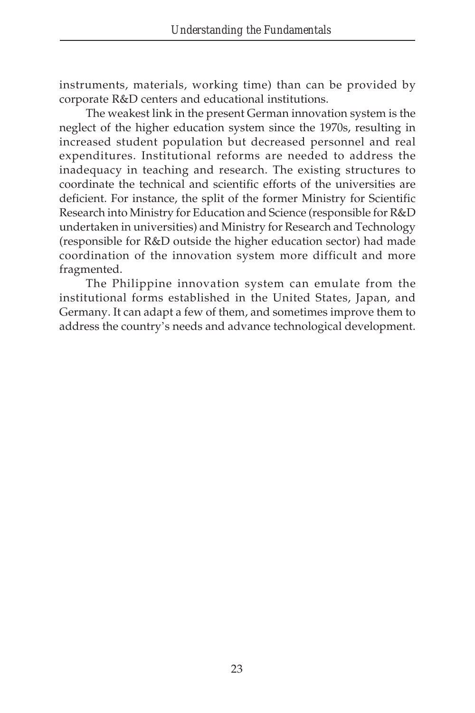instruments, materials, working time) than can be provided by corporate R&D centers and educational institutions.

The weakest link in the present German innovation system is the neglect of the higher education system since the 1970s, resulting in increased student population but decreased personnel and real expenditures. Institutional reforms are needed to address the inadequacy in teaching and research. The existing structures to coordinate the technical and scientific efforts of the universities are deficient. For instance, the split of the former Ministry for Scientific Research into Ministry for Education and Science (responsible for R&D undertaken in universities) and Ministry for Research and Technology (responsible for R&D outside the higher education sector) had made coordination of the innovation system more difficult and more fragmented.

The Philippine innovation system can emulate from the institutional forms established in the United States, Japan, and Germany. It can adapt a few of them, and sometimes improve them to address the country's needs and advance technological development.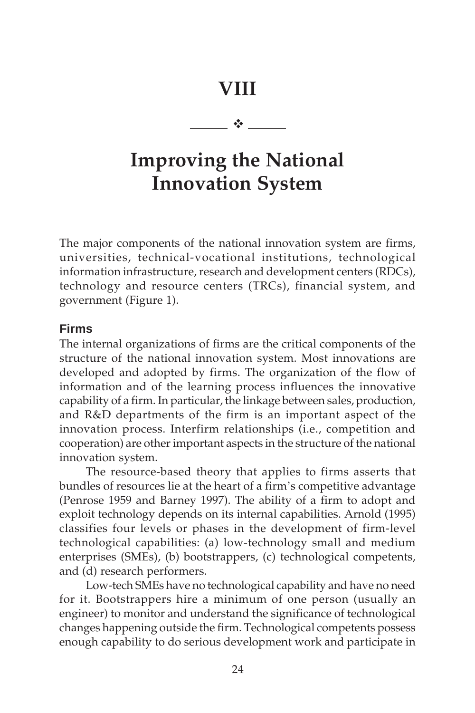### **VIII**

 $\ddot{\Phi}$  and  $\ddot{\Phi}$ 

## **Improving the National Innovation System**

The major components of the national innovation system are firms, universities, technical-vocational institutions, technological information infrastructure, research and development centers (RDCs), technology and resource centers (TRCs), financial system, and government (Figure 1).

#### **Firms**

The internal organizations of firms are the critical components of the structure of the national innovation system. Most innovations are developed and adopted by firms. The organization of the flow of information and of the learning process influences the innovative capability of a firm. In particular, the linkage between sales, production, and R&D departments of the firm is an important aspect of the innovation process. Interfirm relationships (i.e., competition and cooperation) are other important aspects in the structure of the national innovation system.

The resource-based theory that applies to firms asserts that bundles of resources lie at the heart of a firm's competitive advantage (Penrose 1959 and Barney 1997). The ability of a firm to adopt and exploit technology depends on its internal capabilities. Arnold (1995) classifies four levels or phases in the development of firm-level technological capabilities: (a) low-technology small and medium enterprises (SMEs), (b) bootstrappers, (c) technological competents, and (d) research performers.

Low-tech SMEs have no technological capability and have no need for it. Bootstrappers hire a minimum of one person (usually an engineer) to monitor and understand the significance of technological changes happening outside the firm. Technological competents possess enough capability to do serious development work and participate in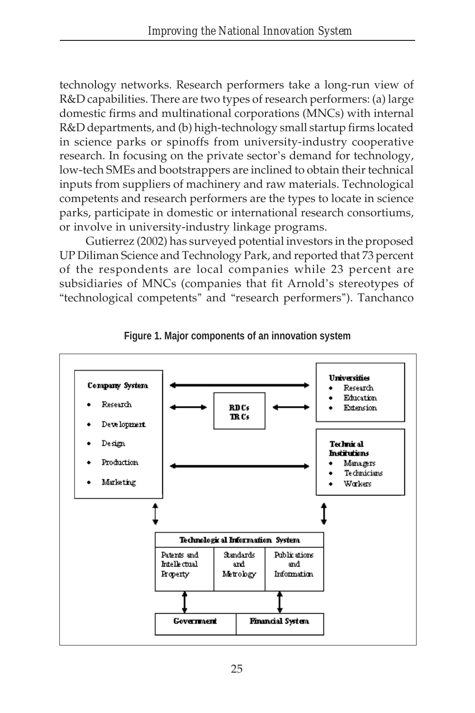technology networks. Research performers take a long-run view of R&D capabilities. There are two types of research performers: (a) large domestic firms and multinational corporations (MNCs) with internal R&D departments, and (b) high-technology small startup firms located in science parks or spinoffs from university-industry cooperative research. In focusing on the private sector's demand for technology, low-tech SMEs and bootstrappers are inclined to obtain their technical inputs from suppliers of machinery and raw materials. Technological competents and research performers are the types to locate in science parks, participate in domestic or international research consortiums, or involve in university-industry linkage programs.

Gutierrez (2002) has surveyed potential investors in the proposed UP Diliman Science and Technology Park, and reported that 73 percent of the respondents are local companies while 23 percent are subsidiaries of MNCs (companies that fit Arnold's stereotypes of "technological competents" and "research performers"). Tanchanco



**Figure 1. Major components of an innovation system**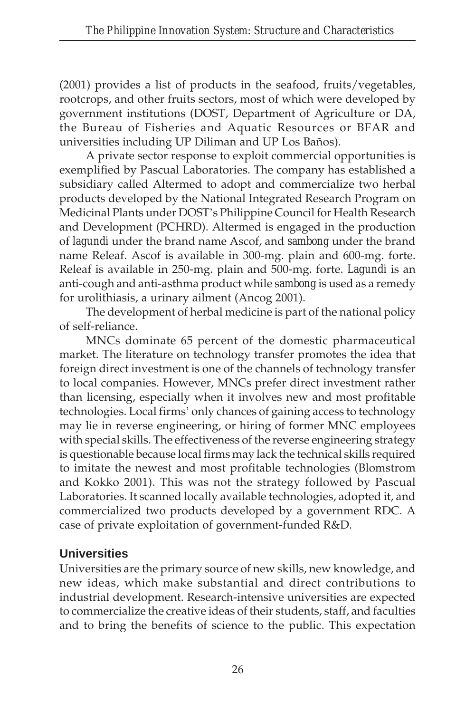(2001) provides a list of products in the seafood, fruits/vegetables, rootcrops, and other fruits sectors, most of which were developed by government institutions (DOST, Department of Agriculture or DA, the Bureau of Fisheries and Aquatic Resources or BFAR and universities including UP Diliman and UP Los Baños).

A private sector response to exploit commercial opportunities is exemplified by Pascual Laboratories. The company has established a subsidiary called Altermed to adopt and commercialize two herbal products developed by the National Integrated Research Program on Medicinal Plants under DOST's Philippine Council for Health Research and Development (PCHRD). Altermed is engaged in the production of *lagundi* under the brand name Ascof, and *sambong* under the brand name Releaf. Ascof is available in 300-mg. plain and 600-mg. forte. Releaf is available in 250-mg. plain and 500-mg. forte. *Lagundi* is an anti-cough and anti-asthma product while s*ambong* is used as a remedy for urolithiasis, a urinary ailment (Ancog 2001).

The development of herbal medicine is part of the national policy of self-reliance.

MNCs dominate 65 percent of the domestic pharmaceutical market. The literature on technology transfer promotes the idea that foreign direct investment is one of the channels of technology transfer to local companies. However, MNCs prefer direct investment rather than licensing, especially when it involves new and most profitable technologies. Local firms' only chances of gaining access to technology may lie in reverse engineering, or hiring of former MNC employees with special skills. The effectiveness of the reverse engineering strategy is questionable because local firms may lack the technical skills required to imitate the newest and most profitable technologies (Blomstrom and Kokko 2001). This was not the strategy followed by Pascual Laboratories. It scanned locally available technologies, adopted it, and commercialized two products developed by a government RDC. A case of private exploitation of government-funded R&D.

#### **Universities**

Universities are the primary source of new skills, new knowledge, and new ideas, which make substantial and direct contributions to industrial development. Research-intensive universities are expected to commercialize the creative ideas of their students, staff, and faculties and to bring the benefits of science to the public. This expectation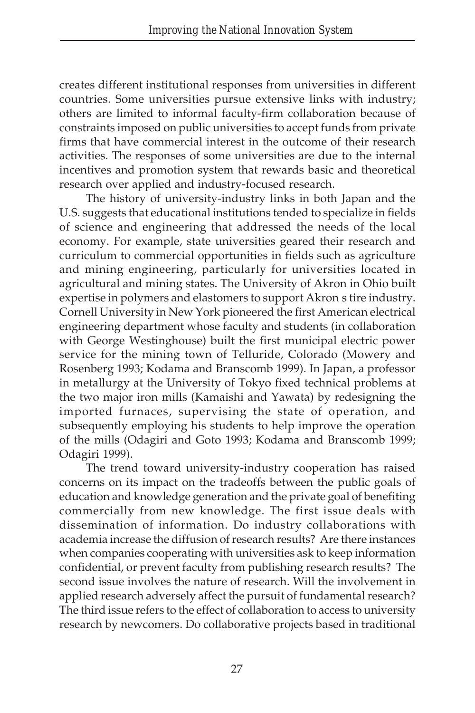creates different institutional responses from universities in different countries. Some universities pursue extensive links with industry; others are limited to informal faculty-firm collaboration because of constraints imposed on public universities to accept funds from private firms that have commercial interest in the outcome of their research activities. The responses of some universities are due to the internal incentives and promotion system that rewards basic and theoretical research over applied and industry-focused research.

The history of university-industry links in both Japan and the U.S. suggests that educational institutions tended to specialize in fields of science and engineering that addressed the needs of the local economy. For example, state universities geared their research and curriculum to commercial opportunities in fields such as agriculture and mining engineering, particularly for universities located in agricultural and mining states. The University of Akron in Ohio built expertise in polymers and elastomers to support Akron's tire industry. Cornell University in New York pioneered the first American electrical engineering department whose faculty and students (in collaboration with George Westinghouse) built the first municipal electric power service for the mining town of Telluride, Colorado (Mowery and Rosenberg 1993; Kodama and Branscomb 1999). In Japan, a professor in metallurgy at the University of Tokyo fixed technical problems at the two major iron mills (Kamaishi and Yawata) by redesigning the imported furnaces, supervising the state of operation, and subsequently employing his students to help improve the operation of the mills (Odagiri and Goto 1993; Kodama and Branscomb 1999; Odagiri 1999).

The trend toward university-industry cooperation has raised concerns on its impact on the tradeoffs between the public goals of education and knowledge generation and the private goal of benefiting commercially from new knowledge. The first issue deals with dissemination of information. Do industry collaborations with academia increase the diffusion of research results? Are there instances when companies cooperating with universities ask to keep information confidential, or prevent faculty from publishing research results? The second issue involves the nature of research. Will the involvement in applied research adversely affect the pursuit of fundamental research? The third issue refers to the effect of collaboration to access to university research by newcomers. Do collaborative projects based in traditional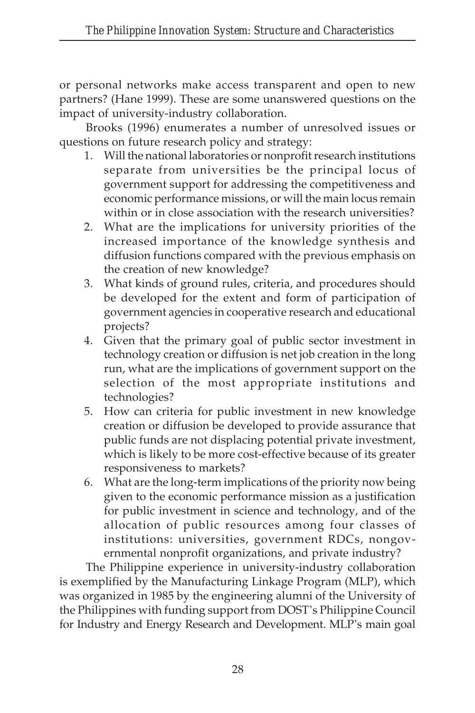or personal networks make access transparent and open to new partners? (Hane 1999). These are some unanswered questions on the impact of university-industry collaboration.

Brooks (1996) enumerates a number of unresolved issues or questions on future research policy and strategy:

- 1. Will the national laboratories or nonprofit research institutions separate from universities be the principal locus of government support for addressing the competitiveness and economic performance missions, or will the main locus remain within or in close association with the research universities?
- 2. What are the implications for university priorities of the increased importance of the knowledge synthesis and diffusion functions compared with the previous emphasis on the creation of new knowledge?
- 3. What kinds of ground rules, criteria, and procedures should be developed for the extent and form of participation of government agencies in cooperative research and educational projects?
- 4. Given that the primary goal of public sector investment in technology creation or diffusion is net job creation in the long run, what are the implications of government support on the selection of the most appropriate institutions and technologies?
- 5. How can criteria for public investment in new knowledge creation or diffusion be developed to provide assurance that public funds are not displacing potential private investment, which is likely to be more cost-effective because of its greater responsiveness to markets?
- 6. What are the long-term implications of the priority now being given to the economic performance mission as a justification for public investment in science and technology, and of the allocation of public resources among four classes of institutions: universities, government RDCs, nongovernmental nonprofit organizations, and private industry?

The Philippine experience in university-industry collaboration is exemplified by the Manufacturing Linkage Program (MLP), which was organized in 1985 by the engineering alumni of the University of the Philippines with funding support from DOST's Philippine Council for Industry and Energy Research and Development. MLP's main goal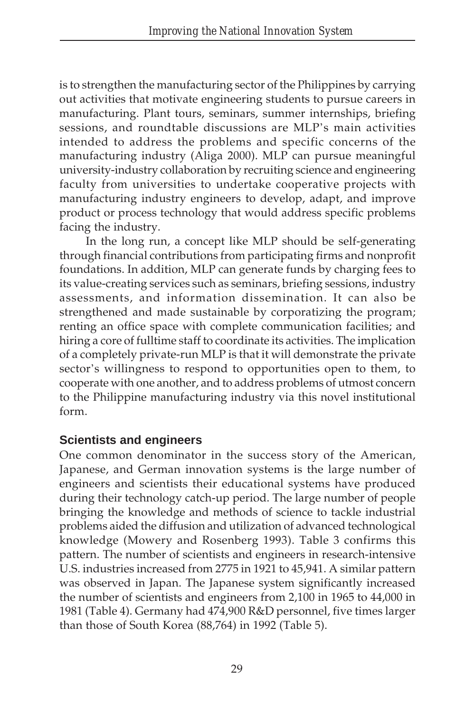is to strengthen the manufacturing sector of the Philippines by carrying out activities that motivate engineering students to pursue careers in manufacturing. Plant tours, seminars, summer internships, briefing sessions, and roundtable discussions are MLP's main activities intended to address the problems and specific concerns of the manufacturing industry (Aliga 2000). MLP can pursue meaningful university-industry collaboration by recruiting science and engineering faculty from universities to undertake cooperative projects with manufacturing industry engineers to develop, adapt, and improve product or process technology that would address specific problems facing the industry.

In the long run, a concept like MLP should be self-generating through financial contributions from participating firms and nonprofit foundations. In addition, MLP can generate funds by charging fees to its value-creating services such as seminars, briefing sessions, industry assessments, and information dissemination. It can also be strengthened and made sustainable by corporatizing the program; renting an office space with complete communication facilities; and hiring a core of fulltime staff to coordinate its activities. The implication of a completely private-run MLP is that it will demonstrate the private sector's willingness to respond to opportunities open to them, to cooperate with one another, and to address problems of utmost concern to the Philippine manufacturing industry via this novel institutional form.

#### **Scientists and engineers**

One common denominator in the success story of the American, Japanese, and German innovation systems is the large number of engineers and scientists their educational systems have produced during their technology catch-up period. The large number of people bringing the knowledge and methods of science to tackle industrial problems aided the diffusion and utilization of advanced technological knowledge (Mowery and Rosenberg 1993). Table 3 confirms this pattern. The number of scientists and engineers in research-intensive U.S. industries increased from 2775 in 1921 to 45,941. A similar pattern was observed in Japan. The Japanese system significantly increased the number of scientists and engineers from 2,100 in 1965 to 44,000 in 1981 (Table 4). Germany had 474,900 R&D personnel, five times larger than those of South Korea (88,764) in 1992 (Table 5).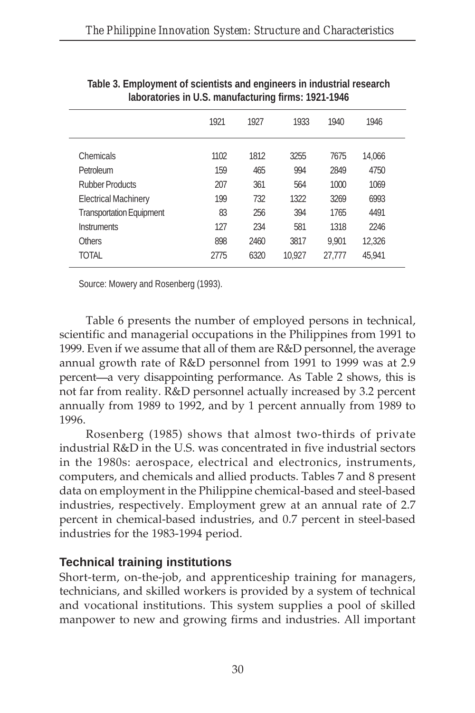|                                 | 1921 | 1927 | 1933   | 1940   | 1946   |  |
|---------------------------------|------|------|--------|--------|--------|--|
| Chemicals                       | 1102 | 1812 | 3255   | 7675   | 14,066 |  |
| Petroleum                       | 159  | 465  | 994    | 2849   | 4750   |  |
| <b>Rubber Products</b>          | 207  | 361  | 564    | 1000   | 1069   |  |
| <b>Electrical Machinery</b>     | 199  | 732  | 1322   | 3269   | 6993   |  |
| <b>Transportation Equipment</b> | 83   | 256  | 394    | 1765   | 4491   |  |
| <b>Instruments</b>              | 127  | 234  | 581    | 1318   | 2246   |  |
| Others                          | 898  | 2460 | 3817   | 9.901  | 12.326 |  |
| TOTAL                           | 2775 | 6320 | 10,927 | 27,777 | 45.941 |  |
|                                 |      |      |        |        |        |  |

| Table 3. Employment of scientists and engineers in industrial research |
|------------------------------------------------------------------------|
| laboratories in U.S. manufacturing firms: 1921-1946                    |

Source: Mowery and Rosenberg (1993).

Table 6 presents the number of employed persons in technical, scientific and managerial occupations in the Philippines from 1991 to 1999. Even if we assume that all of them are R&D personnel, the average annual growth rate of R&D personnel from 1991 to 1999 was at 2.9 percent—a very disappointing performance. As Table 2 shows, this is not far from reality. R&D personnel actually increased by 3.2 percent annually from 1989 to 1992, and by 1 percent annually from 1989 to 1996.

Rosenberg (1985) shows that almost two-thirds of private industrial R&D in the U.S. was concentrated in five industrial sectors in the 1980s: aerospace, electrical and electronics, instruments, computers, and chemicals and allied products. Tables 7 and 8 present data on employment in the Philippine chemical-based and steel-based industries, respectively. Employment grew at an annual rate of 2.7 percent in chemical-based industries, and 0.7 percent in steel-based industries for the 1983-1994 period.

#### **Technical training institutions**

Short-term, on-the-job, and apprenticeship training for managers, technicians, and skilled workers is provided by a system of technical and vocational institutions. This system supplies a pool of skilled manpower to new and growing firms and industries. All important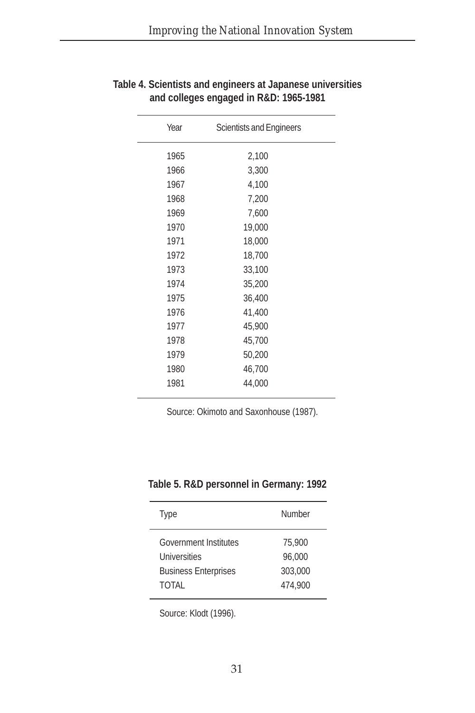| Year | <b>Scientists and Engineers</b> |
|------|---------------------------------|
| 1965 | 2,100                           |
| 1966 | 3,300                           |
| 1967 | 4,100                           |
| 1968 | 7,200                           |
| 1969 | 7,600                           |
| 1970 | 19,000                          |
| 1971 | 18,000                          |
| 1972 | 18,700                          |
| 1973 | 33,100                          |
| 1974 | 35,200                          |
| 1975 | 36,400                          |
| 1976 | 41,400                          |
| 1977 | 45,900                          |
| 1978 | 45,700                          |
| 1979 | 50,200                          |
| 1980 | 46,700                          |
| 1981 | 44,000                          |
|      |                                 |

#### **Table 4. Scientists and engineers at Japanese universities and colleges engaged in R&D: 1965-1981**

Source: Okimoto and Saxonhouse (1987).

#### **Table 5. R&D personnel in Germany: 1992**

| <b>Type</b>                                                                   | Number                                 |
|-------------------------------------------------------------------------------|----------------------------------------|
| Government Institutes<br>Universities<br><b>Business Enterprises</b><br>TOTAL | 75,900<br>96,000<br>303,000<br>474.900 |

Source: Klodt (1996).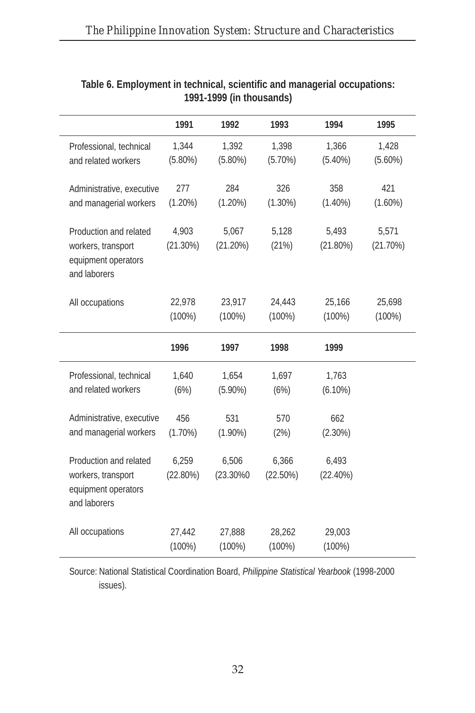|                                                           | 1991        | 1992         | 1993        | 1994       | 1995       |
|-----------------------------------------------------------|-------------|--------------|-------------|------------|------------|
| Professional, technical                                   | 1,344       | 1,392        | 1,398       | 1,366      | 1,428      |
| and related workers                                       | $(5.80\%)$  | $(5.80\%)$   | $(5.70\%)$  | $(5.40\%)$ | $(5.60\%)$ |
| Administrative, executive                                 | 277         | 284          | 326         | 358        | 421        |
| and managerial workers                                    | $(1.20\%)$  | $(1.20\%)$   | $(1.30\%)$  | $(1.40\%)$ | $(1.60\%)$ |
| Production and related                                    | 4,903       | 5,067        | 5,128       | 5,493      | 5,571      |
| workers, transport<br>equipment operators<br>and laborers | $(21.30\%)$ | (21.20%)     | (21%)       | (21.80%)   | (21.70%)   |
| All occupations                                           | 22,978      | 23,917       | 24,443      | 25,166     | 25,698     |
|                                                           | $(100\%)$   | $(100\%)$    | $(100\%)$   | $(100\%)$  | $(100\%)$  |
|                                                           | 1996        | 1997         | 1998        | 1999       |            |
|                                                           |             |              |             |            |            |
| Professional, technical                                   | 1,640       | 1,654        | 1,697       | 1,763      |            |
| and related workers                                       | (6%)        | $(5.90\%)$   | (6%)        | $(6.10\%)$ |            |
| Administrative, executive                                 | 456         | 531          | 570         | 662        |            |
| and managerial workers                                    | $(1.70\%)$  | $(1.90\%)$   | (2%)        | $(2.30\%)$ |            |
| Production and related                                    | 6,259       | 6,506        | 6,366       | 6,493      |            |
| workers, transport<br>equipment operators<br>and laborers | (22.80%)    | $(23.30\%0)$ | $(22.50\%)$ | (22.40%)   |            |
| All occupations                                           | 27,442      | 27,888       | 28,262      | 29,003     |            |

#### **Table 6. Employment in technical, scientific and managerial occupations: 1991-1999 (in thousands)**

Source: National Statistical Coordination Board, *Philippine Statistical Yearbook* (1998-2000 issues).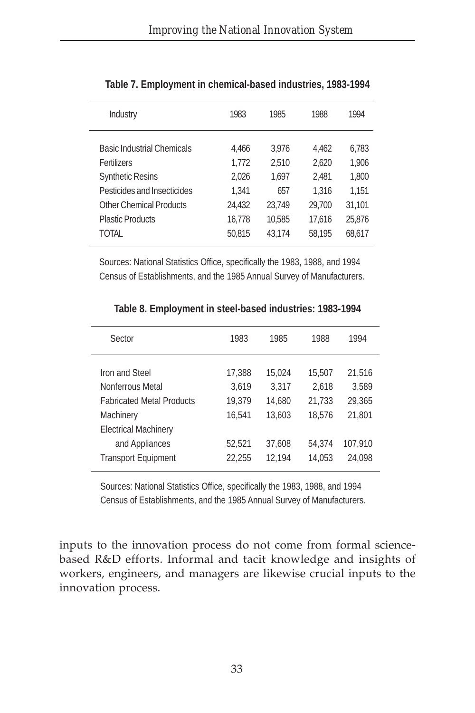| Industry                                                                    | 1983                    | 1985                    | 1988                    | 1994                    |
|-----------------------------------------------------------------------------|-------------------------|-------------------------|-------------------------|-------------------------|
| <b>Basic Industrial Chemicals</b><br>Fertilizers<br><b>Synthetic Resins</b> | 4.466<br>1.772<br>2,026 | 3.976<br>2.510<br>1,697 | 4.462<br>2.620<br>2.481 | 6,783<br>1,906<br>1,800 |
| Pesticides and Insecticides                                                 | 1.341                   | 657                     | 1.316                   | 1.151                   |
| Other Chemical Products                                                     | 24.432                  | 23.749                  | 29.700                  | 31,101                  |
| <b>Plastic Products</b>                                                     | 16.778                  | 10,585                  | 17.616                  | 25,876                  |
| TOTAI                                                                       | 50,815                  | 43,174                  | 58,195                  | 68,617                  |
|                                                                             |                         |                         |                         |                         |

**Table 7. Employment in chemical-based industries, 1983-1994**

Sources: National Statistics Office, specifically the 1983, 1988, and 1994 Census of Establishments, and the 1985 Annual Survey of Manufacturers.

| Sector                           | 1983   | 1985   | 1988   | 1994    |
|----------------------------------|--------|--------|--------|---------|
| Iron and Steel                   | 17,388 | 15,024 | 15,507 | 21,516  |
| Nonferrous Metal                 | 3.619  | 3.317  | 2,618  | 3,589   |
| <b>Fabricated Metal Products</b> | 19,379 | 14,680 | 21.733 | 29,365  |
| Machinery                        | 16,541 | 13,603 | 18,576 | 21,801  |
| <b>Electrical Machinery</b>      |        |        |        |         |
| and Appliances                   | 52,521 | 37,608 | 54,374 | 107.910 |
| <b>Transport Equipment</b>       | 22,255 | 12,194 | 14.053 | 24.098  |
|                                  |        |        |        |         |

**Table 8. Employment in steel-based industries: 1983-1994**

Sources: National Statistics Office, specifically the 1983, 1988, and 1994 Census of Establishments, and the 1985 Annual Survey of Manufacturers.

inputs to the innovation process do not come from formal sciencebased R&D efforts. Informal and tacit knowledge and insights of workers, engineers, and managers are likewise crucial inputs to the innovation process.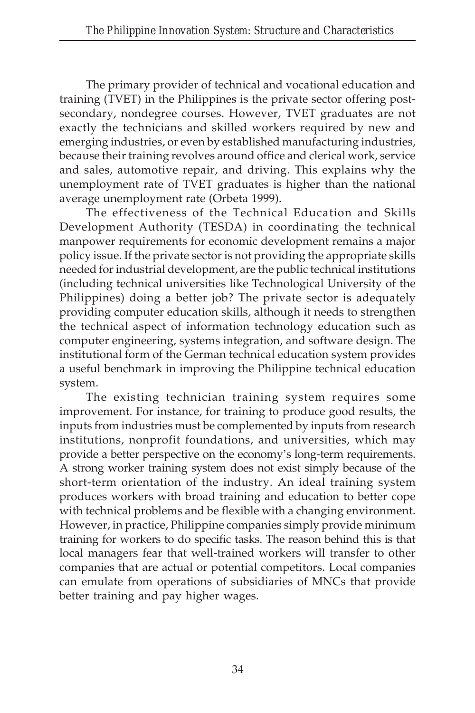The primary provider of technical and vocational education and training (TVET) in the Philippines is the private sector offering postsecondary, nondegree courses. However, TVET graduates are not exactly the technicians and skilled workers required by new and emerging industries, or even by established manufacturing industries, because their training revolves around office and clerical work, service and sales, automotive repair, and driving. This explains why the unemployment rate of TVET graduates is higher than the national average unemployment rate (Orbeta 1999).

The effectiveness of the Technical Education and Skills Development Authority (TESDA) in coordinating the technical manpower requirements for economic development remains a major policy issue. If the private sector is not providing the appropriate skills needed for industrial development, are the public technical institutions (including technical universities like Technological University of the Philippines) doing a better job? The private sector is adequately providing computer education skills, although it needs to strengthen the technical aspect of information technology education such as computer engineering, systems integration, and software design. The institutional form of the German technical education system provides a useful benchmark in improving the Philippine technical education system.

The existing technician training system requires some improvement. For instance, for training to produce good results, the inputs from industries must be complemented by inputs from research institutions, nonprofit foundations, and universities, which may provide a better perspective on the economy's long-term requirements. A strong worker training system does not exist simply because of the short-term orientation of the industry. An ideal training system produces workers with broad training and education to better cope with technical problems and be flexible with a changing environment. However, in practice, Philippine companies simply provide minimum training for workers to do specific tasks. The reason behind this is that local managers fear that well-trained workers will transfer to other companies that are actual or potential competitors. Local companies can emulate from operations of subsidiaries of MNCs that provide better training and pay higher wages.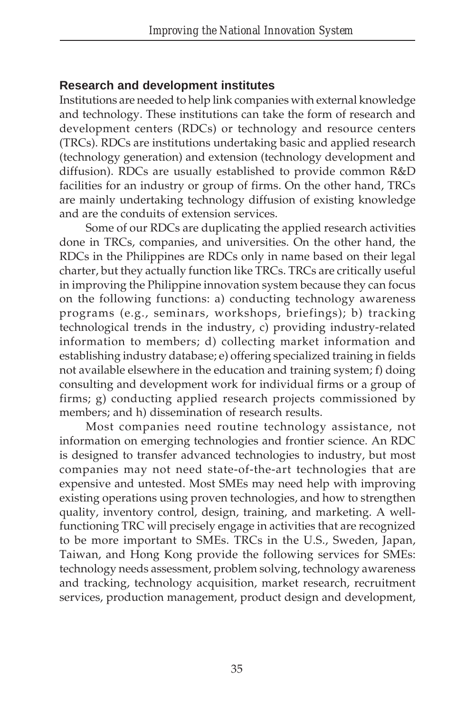#### **Research and development institutes**

Institutions are needed to help link companies with external knowledge and technology. These institutions can take the form of research and development centers (RDCs) or technology and resource centers (TRCs). RDCs are institutions undertaking basic and applied research (technology generation) and extension (technology development and diffusion). RDCs are usually established to provide common R&D facilities for an industry or group of firms. On the other hand, TRCs are mainly undertaking technology diffusion of existing knowledge and are the conduits of extension services.

Some of our RDCs are duplicating the applied research activities done in TRCs, companies, and universities. On the other hand, the RDCs in the Philippines are RDCs only in name based on their legal charter, but they actually function like TRCs. TRCs are critically useful in improving the Philippine innovation system because they can focus on the following functions: a) conducting technology awareness programs (e.g., seminars, workshops, briefings); b) tracking technological trends in the industry, c) providing industry-related information to members; d) collecting market information and establishing industry database; e) offering specialized training in fields not available elsewhere in the education and training system; f) doing consulting and development work for individual firms or a group of firms; g) conducting applied research projects commissioned by members; and h) dissemination of research results.

Most companies need routine technology assistance, not information on emerging technologies and frontier science. An RDC is designed to transfer advanced technologies to industry, but most companies may not need state-of-the-art technologies that are expensive and untested. Most SMEs may need help with improving existing operations using proven technologies, and how to strengthen quality, inventory control, design, training, and marketing. A wellfunctioning TRC will precisely engage in activities that are recognized to be more important to SMEs. TRCs in the U.S., Sweden, Japan, Taiwan, and Hong Kong provide the following services for SMEs: technology needs assessment, problem solving, technology awareness and tracking, technology acquisition, market research, recruitment services, production management, product design and development,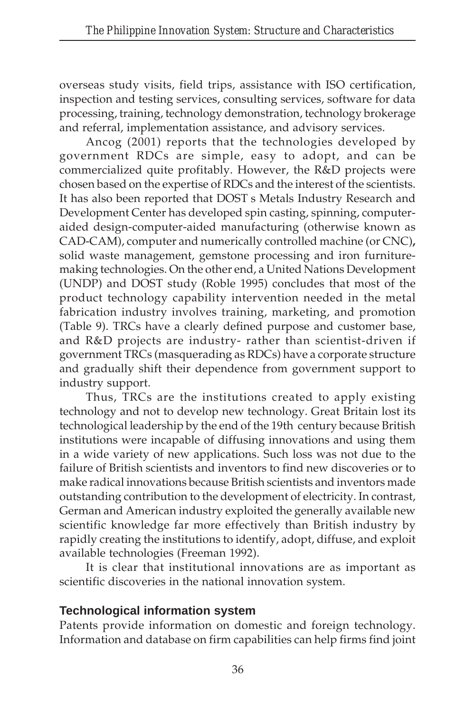overseas study visits, field trips, assistance with ISO certification, inspection and testing services, consulting services, software for data processing, training, technology demonstration, technology brokerage and referral, implementation assistance, and advisory services.

Ancog (2001) reports that the technologies developed by government RDCs are simple, easy to adopt, and can be commercialized quite profitably. However, the R&D projects were chosen based on the expertise of RDCs and the interest of the scientists. It has also been reported that DOST's Metals Industry Research and Development Center has developed spin casting, spinning, computeraided design-computer-aided manufacturing (otherwise known as CAD-CAM), computer and numerically controlled machine (or CNC)**,** solid waste management, gemstone processing and iron furnituremaking technologies. On the other end, a United Nations Development (UNDP) and DOST study (Roble 1995) concludes that most of the product technology capability intervention needed in the metal fabrication industry involves training, marketing, and promotion (Table 9). TRCs have a clearly defined purpose and customer base, and R&D projects are industry- rather than scientist-driven if government TRCs (masquerading as RDCs) have a corporate structure and gradually shift their dependence from government support to industry support.

Thus, TRCs are the institutions created to apply existing technology and not to develop new technology. Great Britain lost its technological leadership by the end of the 19th century because British institutions were incapable of diffusing innovations and using them in a wide variety of new applications. Such loss was not due to the failure of British scientists and inventors to find new discoveries or to make radical innovations because British scientists and inventors made outstanding contribution to the development of electricity. In contrast, German and American industry exploited the generally available new scientific knowledge far more effectively than British industry by rapidly creating the institutions to identify, adopt, diffuse, and exploit available technologies (Freeman 1992).

It is clear that institutional innovations are as important as scientific discoveries in the national innovation system.

#### **Technological information system**

Patents provide information on domestic and foreign technology. Information and database on firm capabilities can help firms find joint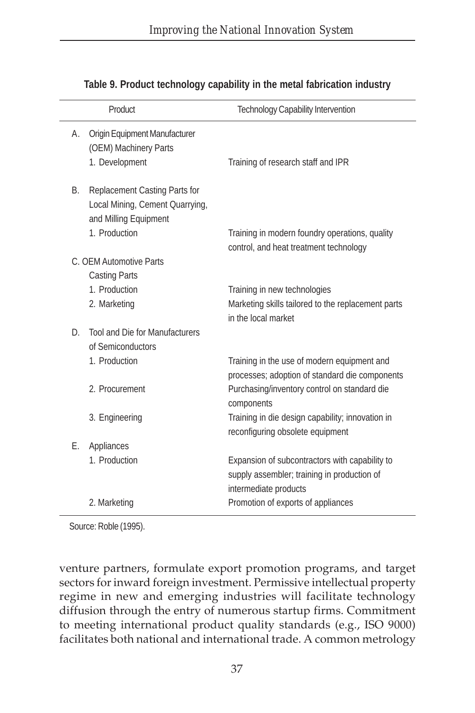| Product                                                                                                          | <b>Technology Capability Intervention</b>                                                                              |
|------------------------------------------------------------------------------------------------------------------|------------------------------------------------------------------------------------------------------------------------|
| Origin Equipment Manufacturer<br>А.<br>(OEM) Machinery Parts<br>1. Development                                   | Training of research staff and IPR                                                                                     |
| Replacement Casting Parts for<br>В.<br>Local Mining, Cement Quarrying,<br>and Milling Equipment<br>1. Production | Training in modern foundry operations, quality<br>control, and heat treatment technology                               |
| C. OFM Automotive Parts                                                                                          |                                                                                                                        |
| <b>Casting Parts</b>                                                                                             |                                                                                                                        |
| 1. Production                                                                                                    | Training in new technologies                                                                                           |
| 2. Marketing                                                                                                     | Marketing skills tailored to the replacement parts<br>in the local market                                              |
| Tool and Die for Manufacturers<br>D.                                                                             |                                                                                                                        |
| of Semiconductors                                                                                                |                                                                                                                        |
| 1. Production                                                                                                    | Training in the use of modern equipment and<br>processes; adoption of standard die components                          |
| 2. Procurement                                                                                                   | Purchasing/inventory control on standard die<br>components                                                             |
| 3. Engineering                                                                                                   | Training in die design capability; innovation in<br>reconfiguring obsolete equipment                                   |
| Appliances<br>Е.                                                                                                 |                                                                                                                        |
| 1. Production                                                                                                    | Expansion of subcontractors with capability to<br>supply assembler; training in production of<br>intermediate products |
| 2. Marketing                                                                                                     | Promotion of exports of appliances                                                                                     |

#### **Table 9. Product technology capability in the metal fabrication industry**

Source: Roble (1995).

venture partners, formulate export promotion programs, and target sectors for inward foreign investment. Permissive intellectual property regime in new and emerging industries will facilitate technology diffusion through the entry of numerous startup firms. Commitment to meeting international product quality standards (e.g., ISO 9000) facilitates both national and international trade. A common metrology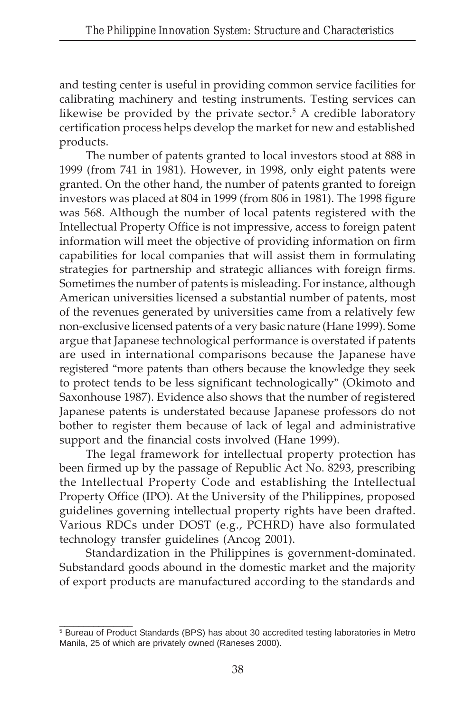and testing center is useful in providing common service facilities for calibrating machinery and testing instruments. Testing services can likewise be provided by the private sector.<sup>5</sup> A credible laboratory certification process helps develop the market for new and established products.

The number of patents granted to local investors stood at 888 in 1999 (from 741 in 1981). However, in 1998, only eight patents were granted. On the other hand, the number of patents granted to foreign investors was placed at 804 in 1999 (from 806 in 1981). The 1998 figure was 568. Although the number of local patents registered with the Intellectual Property Office is not impressive, access to foreign patent information will meet the objective of providing information on firm capabilities for local companies that will assist them in formulating strategies for partnership and strategic alliances with foreign firms. Sometimes the number of patents is misleading. For instance, although American universities licensed a substantial number of patents, most of the revenues generated by universities came from a relatively few non-exclusive licensed patents of a very basic nature (Hane 1999). Some argue that Japanese technological performance is overstated if patents are used in international comparisons because the Japanese have registered "more patents than others because the knowledge they seek to protect tends to be less significant technologically" (Okimoto and Saxonhouse 1987). Evidence also shows that the number of registered Japanese patents is understated because Japanese professors do not bother to register them because of lack of legal and administrative support and the financial costs involved (Hane 1999).

The legal framework for intellectual property protection has been firmed up by the passage of Republic Act No. 8293, prescribing the Intellectual Property Code and establishing the Intellectual Property Office (IPO). At the University of the Philippines, proposed guidelines governing intellectual property rights have been drafted. Various RDCs under DOST (e.g., PCHRD) have also formulated technology transfer guidelines (Ancog 2001).

Standardization in the Philippines is government-dominated. Substandard goods abound in the domestic market and the majority of export products are manufactured according to the standards and

\_\_\_\_\_\_\_\_\_\_\_\_\_\_\_  $^{\rm 5}$  Bureau of Product Standards (BPS) has about 30 accredited testing laboratories in Metro Manila, 25 of which are privately owned (Raneses 2000).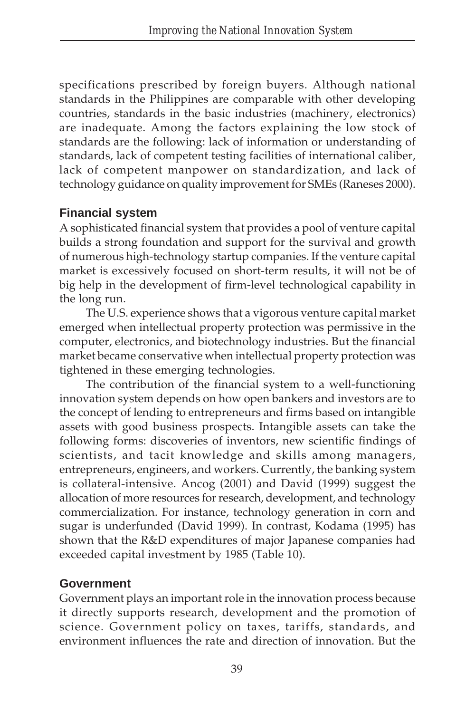specifications prescribed by foreign buyers. Although national standards in the Philippines are comparable with other developing countries, standards in the basic industries (machinery, electronics) are inadequate. Among the factors explaining the low stock of standards are the following: lack of information or understanding of standards, lack of competent testing facilities of international caliber, lack of competent manpower on standardization, and lack of technology guidance on quality improvement for SMEs (Raneses 2000).

#### **Financial system**

A sophisticated financial system that provides a pool of venture capital builds a strong foundation and support for the survival and growth of numerous high-technology startup companies. If the venture capital market is excessively focused on short-term results, it will not be of big help in the development of firm-level technological capability in the long run.

The U.S. experience shows that a vigorous venture capital market emerged when intellectual property protection was permissive in the computer, electronics, and biotechnology industries. But the financial market became conservative when intellectual property protection was tightened in these emerging technologies.

The contribution of the financial system to a well-functioning innovation system depends on how open bankers and investors are to the concept of lending to entrepreneurs and firms based on intangible assets with good business prospects. Intangible assets can take the following forms: discoveries of inventors, new scientific findings of scientists, and tacit knowledge and skills among managers, entrepreneurs, engineers, and workers. Currently, the banking system is collateral-intensive. Ancog (2001) and David (1999) suggest the allocation of more resources for research, development, and technology commercialization. For instance, technology generation in corn and sugar is underfunded (David 1999). In contrast, Kodama (1995) has shown that the R&D expenditures of major Japanese companies had exceeded capital investment by 1985 (Table 10).

#### **Government**

Government plays an important role in the innovation process because it directly supports research, development and the promotion of science. Government policy on taxes, tariffs, standards, and environment influences the rate and direction of innovation. But the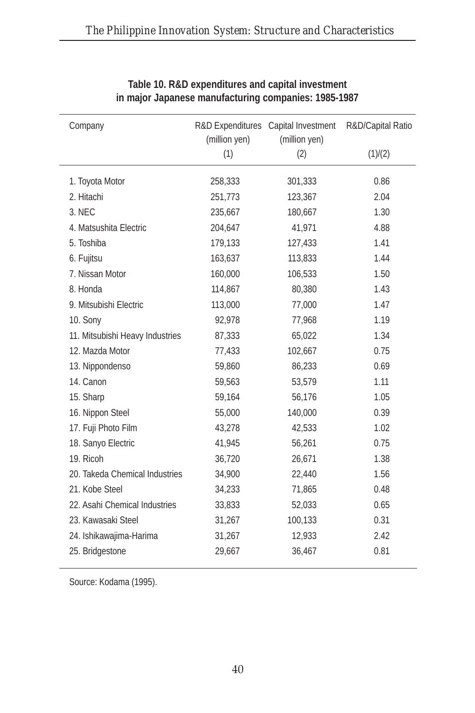| Company                         | (million yen) | R&D Expenditures Capital Investment<br>(million yen) | R&D/Capital Ratio |
|---------------------------------|---------------|------------------------------------------------------|-------------------|
|                                 | (1)           | (2)                                                  | (1)/(2)           |
| 1. Toyota Motor                 | 258,333       | 301,333                                              | 0.86              |
| 2. Hitachi                      | 251,773       | 123,367                                              | 2.04              |
| 3. NEC                          | 235,667       | 180,667                                              | 1.30              |
| 4. Matsushita Electric          | 204,647       | 41,971                                               | 4.88              |
| 5. Toshiba                      | 179,133       | 127,433                                              | 1.41              |
| 6. Fujitsu                      | 163,637       | 113,833                                              | 1.44              |
| 7. Nissan Motor                 | 160,000       | 106,533                                              | 1.50              |
| 8. Honda                        | 114,867       | 80,380                                               | 1.43              |
| 9. Mitsubishi Electric          | 113,000       | 77,000                                               | 1.47              |
| 10. Sony                        | 92,978        | 77,968                                               | 1.19              |
| 11. Mitsubishi Heavy Industries | 87,333        | 65,022                                               | 1.34              |
| 12. Mazda Motor                 | 77,433        | 102,667                                              | 0.75              |
| 13. Nippondenso                 | 59,860        | 86,233                                               | 0.69              |
| 14. Canon                       | 59,563        | 53,579                                               | 1.11              |
| 15. Sharp                       | 59,164        | 56,176                                               | 1.05              |
| 16. Nippon Steel                | 55,000        | 140,000                                              | 0.39              |
| 17. Fuji Photo Film             | 43,278        | 42,533                                               | 1.02              |
| 18. Sanyo Electric              | 41,945        | 56,261                                               | 0.75              |
| 19. Ricoh                       | 36,720        | 26,671                                               | 1.38              |
| 20. Takeda Chemical Industries  | 34,900        | 22,440                                               | 1.56              |
| 21. Kobe Steel                  | 34,233        | 71,865                                               | 0.48              |
| 22. Asahi Chemical Industries   | 33,833        | 52,033                                               | 0.65              |
| 23. Kawasaki Steel              | 31,267        | 100,133                                              | 0.31              |
| 24. Ishikawajima-Harima         | 31,267        | 12,933                                               | 2.42              |
| 25. Bridgestone                 | 29,667        | 36,467                                               | 0.81              |

#### **Table 10. R&D expenditures and capital investment in major Japanese manufacturing companies: 1985-1987**

Source: Kodama (1995).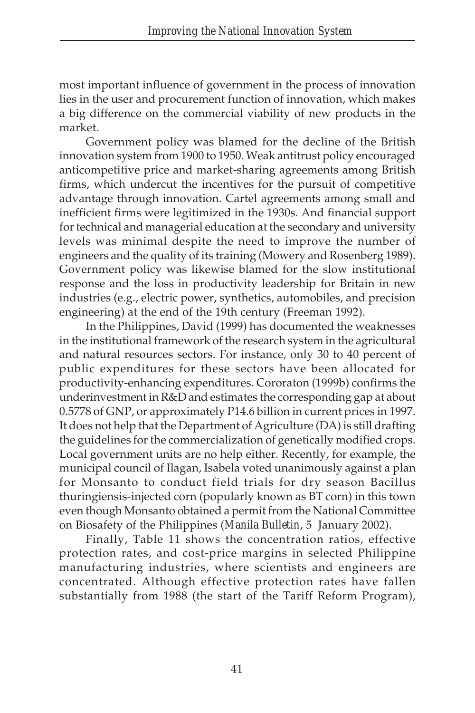most important influence of government in the process of innovation lies in the user and procurement function of innovation, which makes a big difference on the commercial viability of new products in the market.

Government policy was blamed for the decline of the British innovation system from 1900 to 1950. Weak antitrust policy encouraged anticompetitive price and market-sharing agreements among British firms, which undercut the incentives for the pursuit of competitive advantage through innovation. Cartel agreements among small and inefficient firms were legitimized in the 1930s. And financial support for technical and managerial education at the secondary and university levels was minimal despite the need to improve the number of engineers and the quality of its training (Mowery and Rosenberg 1989). Government policy was likewise blamed for the slow institutional response and the loss in productivity leadership for Britain in new industries (e.g., electric power, synthetics, automobiles, and precision engineering) at the end of the 19th century (Freeman 1992).

In the Philippines, David (1999) has documented the weaknesses in the institutional framework of the research system in the agricultural and natural resources sectors. For instance, only 30 to 40 percent of public expenditures for these sectors have been allocated for productivity-enhancing expenditures. Cororaton (1999b) confirms the underinvestment in R&D and estimates the corresponding gap at about 0.5778 of GNP, or approximately P14.6 billion in current prices in 1997. It does not help that the Department of Agriculture (DA) is still drafting the guidelines for the commercialization of genetically modified crops. Local government units are no help either. Recently, for example, the municipal council of Ilagan, Isabela voted unanimously against a plan for Monsanto to conduct field trials for dry season Bacillus thuringiensis-injected corn (popularly known as BT corn) in this town even though Monsanto obtained a permit from the National Committee on Biosafety of the Philippines (*Manila Bulletin*, 5 January 2002).

Finally, Table 11 shows the concentration ratios, effective protection rates, and cost-price margins in selected Philippine manufacturing industries, where scientists and engineers are concentrated. Although effective protection rates have fallen substantially from 1988 (the start of the Tariff Reform Program),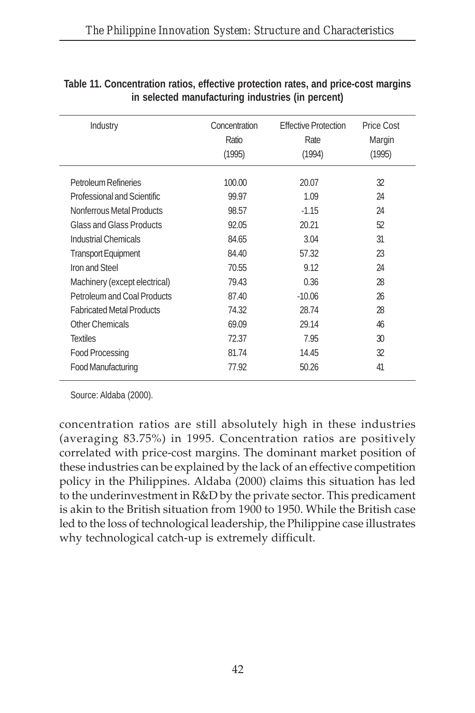| Industry                         | Concentration<br>Ratio<br>(1995) | <b>Effective Protection</b><br>Rate<br>(1994) | Price Cost<br>Margin<br>(1995) |
|----------------------------------|----------------------------------|-----------------------------------------------|--------------------------------|
| <b>Petroleum Refineries</b>      | 100.00                           | 20.07                                         | 32                             |
| Professional and Scientific      | 99.97                            | 1.09                                          | 24                             |
| <b>Nonferrous Metal Products</b> | 98.57                            | $-1.15$                                       | 24                             |
| <b>Glass and Glass Products</b>  | 92.05                            | 20.21                                         | 52                             |
| <b>Industrial Chemicals</b>      | 84.65                            | 3.04                                          | 31                             |
| <b>Transport Equipment</b>       | 84.40                            | 57.32                                         | 23                             |
| Iron and Steel                   | 70.55                            | 9.12                                          | 24                             |
| Machinery (except electrical)    | 79.43                            | 0.36                                          | 28                             |
| Petroleum and Coal Products      | 87.40                            | $-10.06$                                      | 26                             |
| <b>Fabricated Metal Products</b> | 74.32                            | 28.74                                         | 28                             |
| <b>Other Chemicals</b>           | 69.09                            | 29.14                                         | 46                             |
| <b>Textiles</b>                  | 72.37                            | 7.95                                          | 30                             |
| <b>Food Processing</b>           | 81.74                            | 14.45                                         | 32                             |
| <b>Food Manufacturing</b>        | 77.92                            | 50.26                                         | 41                             |

#### **Table 11. Concentration ratios, effective protection rates, and price-cost margins in selected manufacturing industries (in percent)**

Source: Aldaba (2000).

concentration ratios are still absolutely high in these industries (averaging 83.75%) in 1995. Concentration ratios are positively correlated with price-cost margins. The dominant market position of these industries can be explained by the lack of an effective competition policy in the Philippines. Aldaba (2000) claims this situation has led to the underinvestment in R&D by the private sector. This predicament is akin to the British situation from 1900 to 1950. While the British case led to the loss of technological leadership, the Philippine case illustrates why technological catch-up is extremely difficult.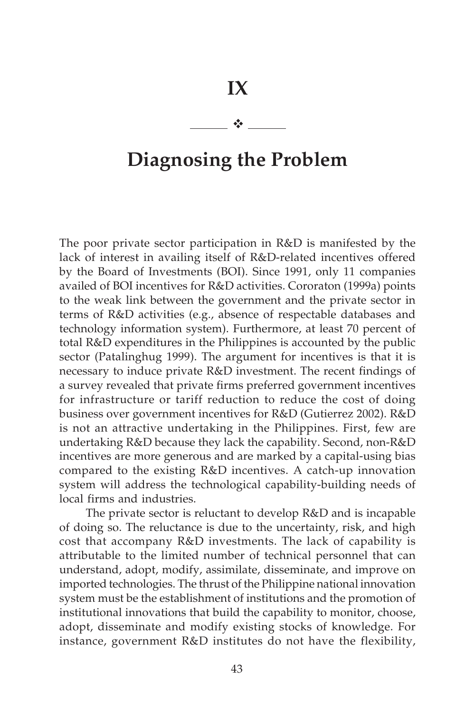**IX**

 $\mathbf{r}$ 

### **Diagnosing the Problem**

The poor private sector participation in R&D is manifested by the lack of interest in availing itself of R&D-related incentives offered by the Board of Investments (BOI). Since 1991, only 11 companies availed of BOI incentives for R&D activities. Cororaton (1999a) points to the weak link between the government and the private sector in terms of R&D activities (e.g., absence of respectable databases and technology information system). Furthermore, at least 70 percent of total R&D expenditures in the Philippines is accounted by the public sector (Patalinghug 1999). The argument for incentives is that it is necessary to induce private R&D investment. The recent findings of a survey revealed that private firms preferred government incentives for infrastructure or tariff reduction to reduce the cost of doing business over government incentives for R&D (Gutierrez 2002). R&D is not an attractive undertaking in the Philippines. First, few are undertaking R&D because they lack the capability. Second, non-R&D incentives are more generous and are marked by a capital-using bias compared to the existing R&D incentives. A catch-up innovation system will address the technological capability-building needs of local firms and industries.

The private sector is reluctant to develop R&D and is incapable of doing so. The reluctance is due to the uncertainty, risk, and high cost that accompany R&D investments. The lack of capability is attributable to the limited number of technical personnel that can understand, adopt, modify, assimilate, disseminate, and improve on imported technologies. The thrust of the Philippine national innovation system must be the establishment of institutions and the promotion of institutional innovations that build the capability to monitor, choose, adopt, disseminate and modify existing stocks of knowledge. For instance, government R&D institutes do not have the flexibility,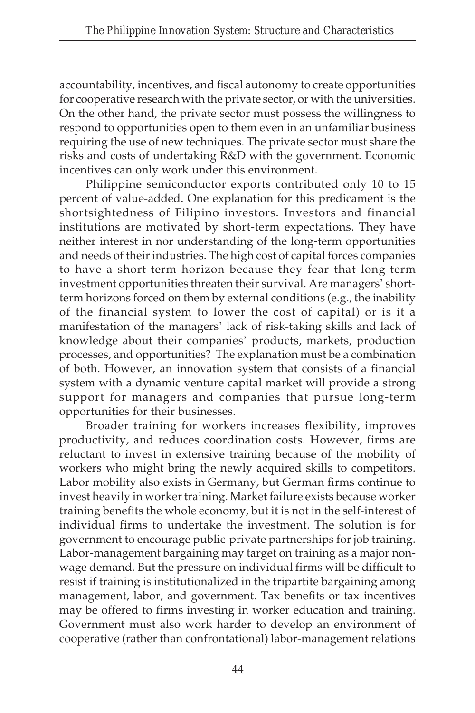accountability, incentives, and fiscal autonomy to create opportunities for cooperative research with the private sector, or with the universities. On the other hand, the private sector must possess the willingness to respond to opportunities open to them even in an unfamiliar business requiring the use of new techniques. The private sector must share the risks and costs of undertaking R&D with the government. Economic incentives can only work under this environment.

Philippine semiconductor exports contributed only 10 to 15 percent of value-added. One explanation for this predicament is the shortsightedness of Filipino investors. Investors and financial institutions are motivated by short-term expectations. They have neither interest in nor understanding of the long-term opportunities and needs of their industries. The high cost of capital forces companies to have a short-term horizon because they fear that long-term investment opportunities threaten their survival. Are managers' shortterm horizons forced on them by external conditions (e.g., the inability of the financial system to lower the cost of capital) or is it a manifestation of the managers' lack of risk-taking skills and lack of knowledge about their companies' products, markets, production processes, and opportunities? The explanation must be a combination of both. However, an innovation system that consists of a financial system with a dynamic venture capital market will provide a strong support for managers and companies that pursue long-term opportunities for their businesses.

Broader training for workers increases flexibility, improves productivity, and reduces coordination costs. However, firms are reluctant to invest in extensive training because of the mobility of workers who might bring the newly acquired skills to competitors. Labor mobility also exists in Germany, but German firms continue to invest heavily in worker training. Market failure exists because worker training benefits the whole economy, but it is not in the self-interest of individual firms to undertake the investment. The solution is for government to encourage public-private partnerships for job training. Labor-management bargaining may target on training as a major nonwage demand. But the pressure on individual firms will be difficult to resist if training is institutionalized in the tripartite bargaining among management, labor, and government. Tax benefits or tax incentives may be offered to firms investing in worker education and training. Government must also work harder to develop an environment of cooperative (rather than confrontational) labor-management relations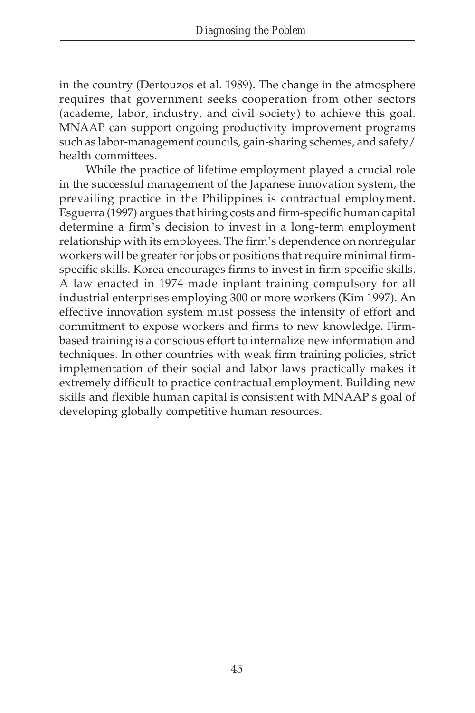in the country (Dertouzos et al. 1989). The change in the atmosphere requires that government seeks cooperation from other sectors (academe, labor, industry, and civil society) to achieve this goal. MNAAP can support ongoing productivity improvement programs such as labor-management councils, gain-sharing schemes, and safety/ health committees.

While the practice of lifetime employment played a crucial role in the successful management of the Japanese innovation system, the prevailing practice in the Philippines is contractual employment. Esguerra (1997) argues that hiring costs and firm-specific human capital determine a firm's decision to invest in a long-term employment relationship with its employees. The firm's dependence on nonregular workers will be greater for jobs or positions that require minimal firmspecific skills. Korea encourages firms to invest in firm-specific skills. A law enacted in 1974 made inplant training compulsory for all industrial enterprises employing 300 or more workers (Kim 1997). An effective innovation system must possess the intensity of effort and commitment to expose workers and firms to new knowledge. Firmbased training is a conscious effort to internalize new information and techniques. In other countries with weak firm training policies, strict implementation of their social and labor laws practically makes it extremely difficult to practice contractual employment. Building new skills and flexible human capital is consistent with MNAAP's goal of developing globally competitive human resources.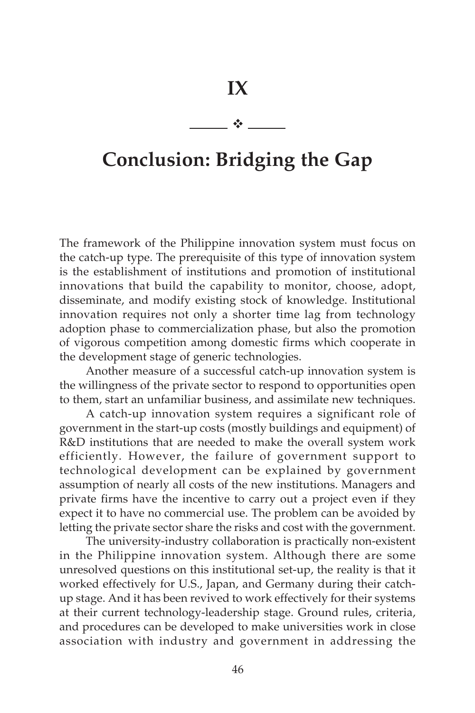**IX**

 $\frac{1}{2}$ 

**Conclusion: Bridging the Gap**

The framework of the Philippine innovation system must focus on the catch-up type. The prerequisite of this type of innovation system is the establishment of institutions and promotion of institutional innovations that build the capability to monitor, choose, adopt, disseminate, and modify existing stock of knowledge. Institutional innovation requires not only a shorter time lag from technology adoption phase to commercialization phase, but also the promotion of vigorous competition among domestic firms which cooperate in the development stage of generic technologies.

Another measure of a successful catch-up innovation system is the willingness of the private sector to respond to opportunities open to them, start an unfamiliar business, and assimilate new techniques.

A catch-up innovation system requires a significant role of government in the start-up costs (mostly buildings and equipment) of R&D institutions that are needed to make the overall system work efficiently. However, the failure of government support to technological development can be explained by government assumption of nearly all costs of the new institutions. Managers and private firms have the incentive to carry out a project even if they expect it to have no commercial use. The problem can be avoided by letting the private sector share the risks and cost with the government.

The university-industry collaboration is practically non-existent in the Philippine innovation system. Although there are some unresolved questions on this institutional set-up, the reality is that it worked effectively for U.S., Japan, and Germany during their catchup stage. And it has been revived to work effectively for their systems at their current technology-leadership stage. Ground rules, criteria, and procedures can be developed to make universities work in close association with industry and government in addressing the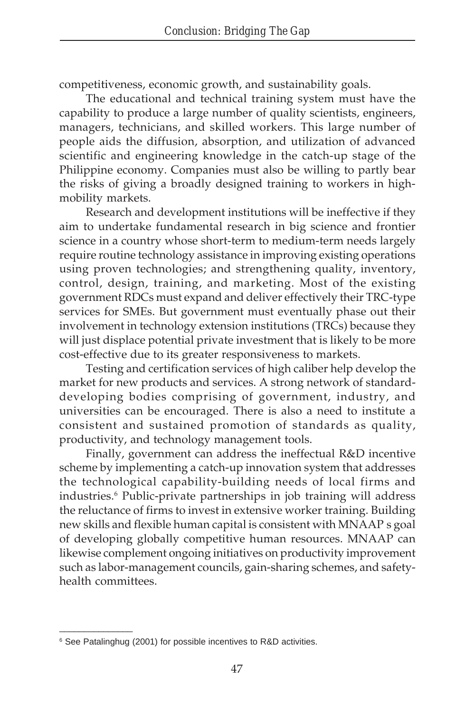competitiveness, economic growth, and sustainability goals.

The educational and technical training system must have the capability to produce a large number of quality scientists, engineers, managers, technicians, and skilled workers. This large number of people aids the diffusion, absorption, and utilization of advanced scientific and engineering knowledge in the catch-up stage of the Philippine economy. Companies must also be willing to partly bear the risks of giving a broadly designed training to workers in highmobility markets.

Research and development institutions will be ineffective if they aim to undertake fundamental research in big science and frontier science in a country whose short-term to medium-term needs largely require routine technology assistance in improving existing operations using proven technologies; and strengthening quality, inventory, control, design, training, and marketing. Most of the existing government RDCs must expand and deliver effectively their TRC-type services for SMEs. But government must eventually phase out their involvement in technology extension institutions (TRCs) because they will just displace potential private investment that is likely to be more cost-effective due to its greater responsiveness to markets.

Testing and certification services of high caliber help develop the market for new products and services. A strong network of standarddeveloping bodies comprising of government, industry, and universities can be encouraged. There is also a need to institute a consistent and sustained promotion of standards as quality, productivity, and technology management tools.

Finally, government can address the ineffectual R&D incentive scheme by implementing a catch-up innovation system that addresses the technological capability-building needs of local firms and industries.<sup>6</sup> Public-private partnerships in job training will address the reluctance of firms to invest in extensive worker training. Building new skills and flexible human capital is consistent with MNAAP's goal of developing globally competitive human resources. MNAAP can likewise complement ongoing initiatives on productivity improvement such as labor-management councils, gain-sharing schemes, and safetyhealth committees.

\_\_\_\_\_\_\_\_\_\_\_\_\_\_\_

<sup>6</sup> See Patalinghug (2001) for possible incentives to R&D activities.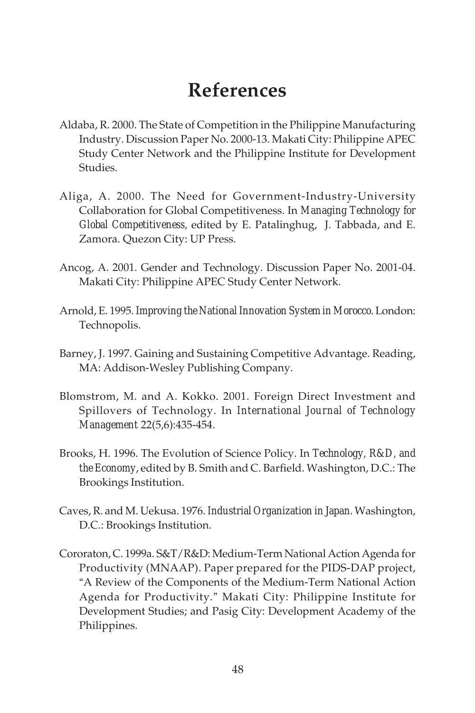## **References**

- Aldaba, R. 2000. The State of Competition in the Philippine Manufacturing Industry. Discussion Paper No. 2000-13. Makati City: Philippine APEC Study Center Network and the Philippine Institute for Development Studies.
- Aliga, A. 2000. The Need for Government-Industry-University Collaboration for Global Competitiveness. In *Managing Technology for Global Competitiveness,* edited by E. Patalinghug, J. Tabbada, and E. Zamora. Quezon City: UP Press.
- Ancog, A. 2001. Gender and Technology. Discussion Paper No. 2001-04. Makati City: Philippine APEC Study Center Network.
- Arnold, E. 1995. *Improving the National Innovation System in Morocco.* London: Technopolis.
- Barney, J. 1997. Gaining and Sustaining Competitive Advantage. Reading, MA: Addison-Wesley Publishing Company.
- Blomstrom, M. and A. Kokko. 2001. Foreign Direct Investment and Spillovers of Technology. In *International Journal of Technology Management* 22(5,6):435-454.
- Brooks, H. 1996. The Evolution of Science Policy. In *Technology, R&D, and the Economy*, edited by B. Smith and C. Barfield. Washington, D.C.: The Brookings Institution.
- Caves, R. and M. Uekusa. 1976. *Industrial Organization in Japan.* Washington, D.C.: Brookings Institution.
- Cororaton, C. 1999a. S&T/R&D: Medium-Term National Action Agenda for Productivity (MNAAP). Paper prepared for the PIDS-DAP project, "A Review of the Components of the Medium-Term National Action Agenda for Productivity." Makati City: Philippine Institute for Development Studies; and Pasig City: Development Academy of the Philippines.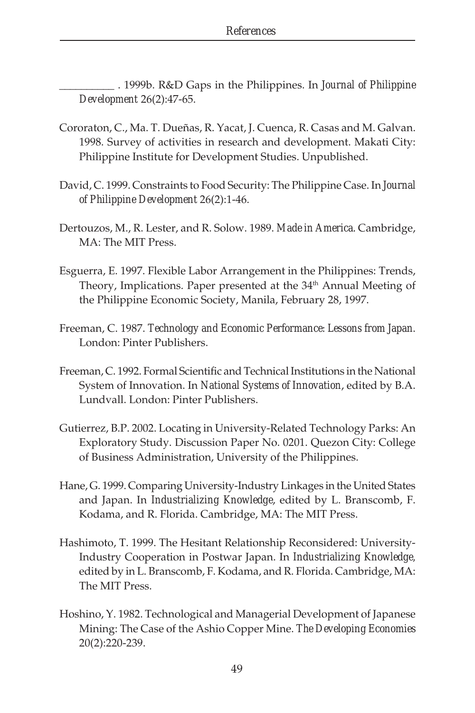\_\_\_\_\_\_\_\_\_\_ . 1999b. R&D Gaps in the Philippines. In *Journal of Philippine Development* 26(2):47-65.

- Cororaton, C., Ma. T. Dueñas, R. Yacat, J. Cuenca, R. Casas and M. Galvan. 1998. Survey of activities in research and development. Makati City: Philippine Institute for Development Studies. Unpublished.
- David, C. 1999. Constraints to Food Security: The Philippine Case. In *Journal of Philippine Development* 26(2):1-46.
- Dertouzos, M., R. Lester, and R. Solow. 1989. *Made in America.* Cambridge, MA: The MIT Press.
- Esguerra, E. 1997. Flexible Labor Arrangement in the Philippines: Trends, Theory, Implications. Paper presented at the 34<sup>th</sup> Annual Meeting of the Philippine Economic Society, Manila, February 28, 1997.
- Freeman, C. 1987. *Technology and Economic Performance: Lessons from Japan*. London: Pinter Publishers.
- Freeman, C. 1992. Formal Scientific and Technical Institutions in the National System of Innovation. In *National Systems of Innovation*, edited by B.A. Lundvall. London: Pinter Publishers.
- Gutierrez, B.P. 2002. Locating in University-Related Technology Parks: An Exploratory Study. Discussion Paper No. 0201. Quezon City: College of Business Administration, University of the Philippines.
- Hane, G. 1999. Comparing University-Industry Linkages in the United States and Japan. In *Industrializing Knowledge*, edited by L. Branscomb, F. Kodama, and R. Florida. Cambridge, MA: The MIT Press.
- Hashimoto, T. 1999. The Hesitant Relationship Reconsidered: University-Industry Cooperation in Postwar Japan. In *Industrializing Knowledge,* edited by in L. Branscomb, F. Kodama, and R. Florida. Cambridge, MA: The MIT Press.
- Hoshino, Y. 1982. Technological and Managerial Development of Japanese Mining: The Case of the Ashio Copper Mine. *The Developing Economies* 20(2):220-239.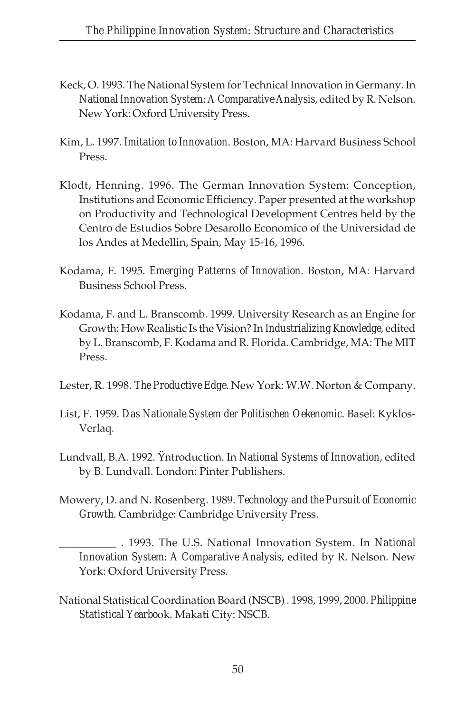- Keck, O. 1993. The National System for Technical Innovation in Germany. In *National Innovation System: A Comparative Analysis,* edited by R. Nelson. New York: Oxford University Press.
- Kim, L. 1997. *Imitation to Innovation.* Boston, MA: Harvard Business School Press.
- Klodt, Henning. 1996. The German Innovation System: Conception, Institutions and Economic Efficiency. Paper presented at the workshop on Productivity and Technological Development Centres held by the Centro de Estudios Sobre Desarollo Economico of the Universidad de los Andes at Medellin, Spain, May 15-16, 1996.
- Kodama, F. 1995. *Emerging Patterns of Innovation.* Boston, MA: Harvard Business School Press.
- Kodama, F. and L. Branscomb. 1999. University Research as an Engine for Growth: How Realistic Is the Vision? In *Industrializing Knowledge,* edited by L. Branscomb, F. Kodama and R. Florida. Cambridge, MA: The MIT Press.
- Lester, R. 1998. *The Productive Edge.* New York: W.W. Norton & Company.
- List, F. 1959. *Das Nationale System der Politischen Oekenomic.* Basel: Kyklos-Verlaq.
- Lundvall, B.A. 1992. Íntroduction. In *National Systems of Innovation,* edited by B. Lundvall. London: Pinter Publishers.
- Mowery, D. and N. Rosenberg. 1989. *Technology and the Pursuit of Economic Growth.* Cambridge: Cambridge University Press.

\_\_\_\_\_\_\_\_\_\_ . 1993. The U.S. National Innovation System. In *National Innovation System: A Comparative Analysis*, edited by R. Nelson. New York: Oxford University Press.

National Statistical Coordination Board (NSCB) . 1998, 1999, 2000. *Philippine Statistical Yearbo*ok. Makati City: NSCB.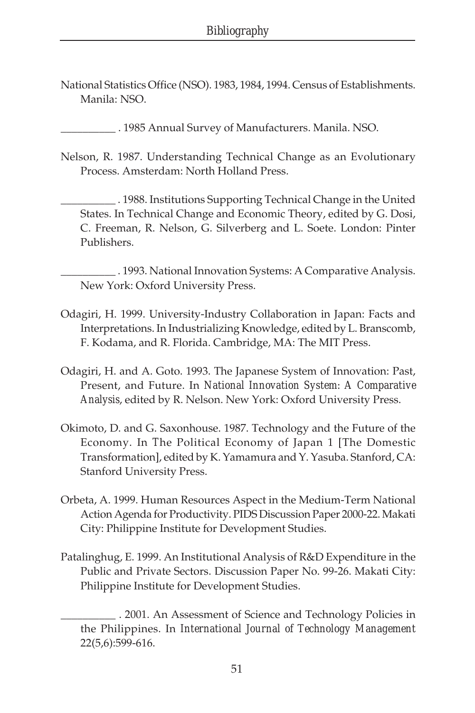- National Statistics Office (NSO). 1983, 1984, 1994. Census of Establishments. Manila: NSO.
	- \_\_\_\_\_\_\_\_\_\_ . 1985 Annual Survey of Manufacturers. Manila. NSO.
- Nelson, R. 1987. Understanding Technical Change as an Evolutionary Process. Amsterdam: North Holland Press.
	- \_\_\_\_\_\_\_\_\_\_ . 1988. Institutions Supporting Technical Change in the United States. In Technical Change and Economic Theory, edited by G. Dosi, C. Freeman, R. Nelson, G. Silverberg and L. Soete. London: Pinter Publishers.

\_\_\_\_\_\_\_\_\_\_ . 1993. National Innovation Systems: A Comparative Analysis. New York: Oxford University Press.

- Odagiri, H. 1999. University-Industry Collaboration in Japan: Facts and Interpretations. In Industrializing Knowledge, edited by L. Branscomb, F. Kodama, and R. Florida. Cambridge, MA: The MIT Press.
- Odagiri, H. and A. Goto. 1993. The Japanese System of Innovation: Past, Present, and Future. In *National Innovation System: A Comparative Analysis*, edited by R. Nelson. New York: Oxford University Press.
- Okimoto, D. and G. Saxonhouse. 1987. Technology and the Future of the Economy. In *T*he Political Economy of Japan 1 [The Domestic Transformation], edited by K. Yamamura and Y. Yasuba. Stanford, CA: Stanford University Press.
- Orbeta, A. 1999. Human Resources Aspect in the Medium-Term National Action Agenda for Productivity. PIDS Discussion Paper 2000-22. Makati City: Philippine Institute for Development Studies.
- Patalinghug, E. 1999. An Institutional Analysis of R&D Expenditure in the Public and Private Sectors. Discussion Paper No. 99-26. Makati City: Philippine Institute for Development Studies.

\_\_\_\_\_\_\_\_\_\_ . 2001. An Assessment of Science and Technology Policies in the Philippines. In *International Journal of Technology Management* 22(5,6):599-616.